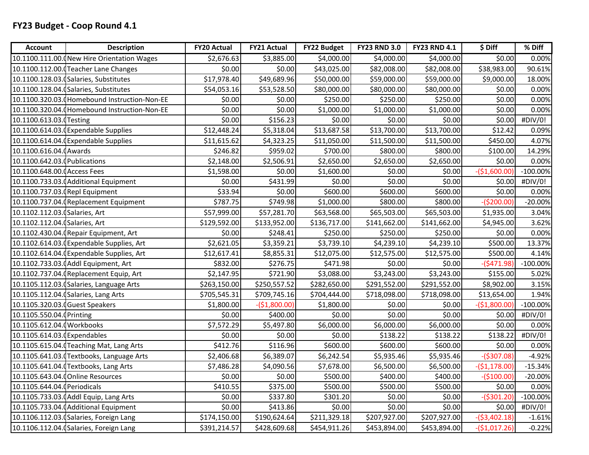| <b>Account</b>                  | <b>Description</b>                            | <b>FY20 Actual</b> | <b>FY21 Actual</b> | <b>FY22 Budget</b> | <b>FY23 RND 3.0</b> | <b>FY23 RND 4.1</b> | \$ Diff        | % Diff      |
|---------------------------------|-----------------------------------------------|--------------------|--------------------|--------------------|---------------------|---------------------|----------------|-------------|
|                                 | 10.1100.111.00. New Hire Orientation Wages    | \$2,676.63         | \$3,885.00         | \$4,000.00         | \$4,000.00          | \$4,000.00          | \$0.00         | 0.00%       |
|                                 | 10.1100.112.00. (Teacher Lane Changes         | \$0.00             | \$0.00             | \$43,025.00        | \$82,008.00         | \$82,008.00         | \$38,983.00    | 90.61%      |
|                                 | 10.1100.128.03.0Salaries, Substitutes         | \$17,978.40        | \$49,689.96        | \$50,000.00        | \$59,000.00         | \$59,000.00         | \$9,000.00     | 18.00%      |
|                                 | 10.1100.128.04.0Salaries, Substitutes         | \$54,053.16        | \$53,528.50        | \$80,000.00        | \$80,000.00         | \$80,000.00         | \$0.00         | 0.00%       |
|                                 | 10.1100.320.03. (Homebound Instruction-Non-EE | \$0.00             | \$0.00             | \$250.00           | \$250.00            | \$250.00            | \$0.00         | 0.00%       |
|                                 | 10.1100.320.04. (Homebound Instruction-Non-EE | \$0.00             | \$0.00             | \$1,000.00         | \$1,000.00          | \$1,000.00          | \$0.00         | 0.00%       |
| 10.1100.613.03. Testing         |                                               | \$0.00             | \$156.23           | \$0.00             | \$0.00              | \$0.00              | \$0.00         | #DIV/0!     |
|                                 | 10.1100.614.03. Expendable Supplies           | \$12,448.24        | \$5,318.04         | \$13,687.58        | \$13,700.00         | \$13,700.00         | \$12.42        | 0.09%       |
|                                 | 10.1100.614.04. Expendable Supplies           | \$11,615.62        | \$4,323.25         | \$11,050.00        | \$11,500.00         | \$11,500.00         | \$450.00       | 4.07%       |
| 10.1100.616.04. (Awards         |                                               | \$246.82           | \$959.02           | \$700.00           | \$800.00            | \$800.00            | \$100.00       | 14.29%      |
| 10.1100.642.03. (Publications   |                                               | \$2,148.00         | \$2,506.91         | \$2,650.00         | \$2,650.00          | \$2,650.00          | \$0.00         | 0.00%       |
| 10.1100.648.00.0 Access Fees    |                                               | \$1,598.00         | \$0.00             | \$1,600.00         | \$0.00              | \$0.00              | $-($1,600.00)$ | $-100.00\%$ |
|                                 | 10.1100.733.03. (Additional Equipment         | \$0.00             | \$431.99           | \$0.00             | \$0.00              | \$0.00              | \$0.00         | #DIV/0!     |
| 10.1100.737.03. (Repl Equipment |                                               | \$33.94            | \$0.00             | \$600.00           | \$600.00            | \$600.00            | \$0.00         | 0.00%       |
|                                 | 10.1100.737.04. Replacement Equipment         | \$787.75           | \$749.98           | \$1,000.00         | \$800.00            | \$800.00            | $-($200.00)$   | $-20.00%$   |
| 10.1102.112.03. (Salaries, Art  |                                               | \$57,999.00        | \$57,281.70        | \$63,568.00        | \$65,503.00         | \$65,503.00         | \$1,935.00     | 3.04%       |
| 10.1102.112.04. (Salaries, Art  |                                               | \$129,592.00       | \$133,952.00       | \$136,717.00       | \$141,662.00        | \$141,662.00        | \$4,945.00     | 3.62%       |
|                                 | 10.1102.430.04. (Repair Equipment, Art        | \$0.00             | \$248.41           | \$250.00           | \$250.00            | \$250.00            | \$0.00         | 0.00%       |
|                                 | 10.1102.614.03.0Expendable Supplies, Art      | \$2,621.05         | \$3,359.21         | \$3,739.10         | \$4,239.10          | \$4,239.10          | \$500.00       | 13.37%      |
|                                 | 10.1102.614.04. Expendable Supplies, Art      | \$12,617.41        | \$8,855.31         | \$12,075.00        | \$12,575.00         | \$12,575.00         | \$500.00       | 4.14%       |
|                                 | 10.1102.733.03. (Addl Equipment, Art          | \$832.00           | \$276.75           | \$471.98           | \$0.00              | \$0.00              | $-($471.98)$   | $-100.00\%$ |
|                                 | 10.1102.737.04. (Replacement Equip, Art       | \$2,147.95         | \$721.90           | \$3,088.00         | \$3,243.00          | \$3,243.00          | \$155.00       | 5.02%       |
|                                 | 10.1105.112.03. (Salaries, Language Arts      | \$263,150.00       | \$250,557.52       | \$282,650.00       | \$291,552.00        | \$291,552.00        | \$8,902.00     | 3.15%       |
|                                 | 10.1105.112.04. (Salaries, Lang Arts          | \$705,545.31       | \$709,745.16       | \$704,444.00       | \$718,098.00        | \$718,098.00        | \$13,654.00    | 1.94%       |
| 10.1105.320.03.0 Guest Speakers |                                               | \$1,800.00         | $-($1,800.00)$     | \$1,800.00         | \$0.00              | \$0.00              | $-($1,800.00)$ | $-100.00\%$ |
| 10.1105.550.04.0Printing        |                                               | \$0.00             | \$400.00           | \$0.00             | \$0.00              | \$0.00              | \$0.00         | #DIV/0!     |
| 10.1105.612.04.0Workbooks       |                                               | \$7,572.29         | \$5,497.80         | \$6,000.00         | \$6,000.00          | \$6,000.00          | \$0.00         | 0.00%       |
| 10.1105.614.03.0Expendables     |                                               | \$0.00             | \$0.00             | \$0.00             | \$138.22            | \$138.22            | \$138.22       | #DIV/0!     |
|                                 | 10.1105.615.04. Teaching Mat, Lang Arts       | \$412.76           | \$116.96           | \$600.00           | \$600.00]           | \$600.00            | \$0.00         | 0.00%       |
|                                 | 10.1105.641.03.(Textbooks, Language Arts      | \$2,406.68         | \$6,389.07         | \$6,242.54         | \$5,935.46          | \$5,935.46          | $-($307.08)$   | $-4.92%$    |
|                                 | 10.1105.641.04. Textbooks, Lang Arts          | \$7,486.28         | \$4,090.56         | \$7,678.00         | \$6,500.00          | \$6,500.00          | $-($1,178.00)$ | $-15.34%$   |
|                                 | 10.1105.643.04. (Online Resources             | \$0.00             | \$0.00             | \$500.00           | \$400.00            | \$400.00            | $-(5100.00)$   | $-20.00%$   |
| 10.1105.644.04. (Periodicals    |                                               | \$410.55           | \$375.00           | \$500.00           | \$500.00            | \$500.00            | \$0.00         | 0.00%       |
|                                 | 10.1105.733.03.0 Addl Equip, Lang Arts        | \$0.00             | \$337.80           | \$301.20           | \$0.00              | \$0.00              | $-($301.20)$   | $-100.00\%$ |
|                                 | 10.1105.733.04.0 Additional Equipment         | \$0.00             | \$413.86           | \$0.00             | \$0.00              | \$0.00              | \$0.00         | #DIV/0!     |
|                                 | 10.1106.112.03. (Salaries, Foreign Lang       | \$174,150.00       | \$190,624.64       | \$211,329.18       | \$207,927.00        | \$207,927.00        | $-($3,402.18)$ | $-1.61%$    |
|                                 | 10.1106.112.04. (Salaries, Foreign Lang       | \$391,214.57       | \$428,609.68       | \$454,911.26       | \$453,894.00        | \$453,894.00        | $-($1,017.26)$ | $-0.22%$    |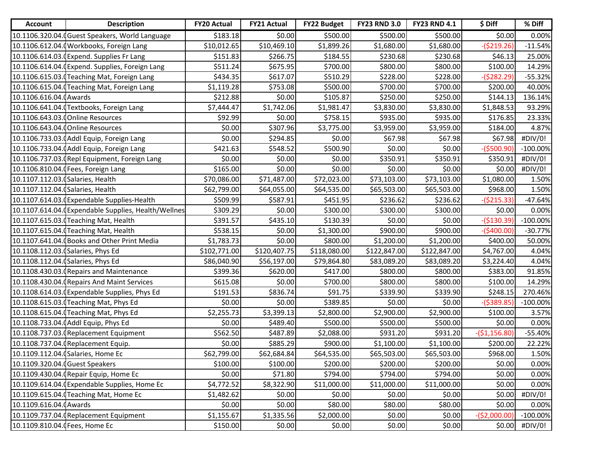| <b>Account</b>                    | <b>Description</b>                                   | <b>FY20 Actual</b> | <b>FY21 Actual</b> | <b>FY22 Budget</b> | <b>FY23 RND 3.0</b> | <b>FY23 RND 4.1</b> | \$ Diff        | % Diff      |
|-----------------------------------|------------------------------------------------------|--------------------|--------------------|--------------------|---------------------|---------------------|----------------|-------------|
|                                   | 10.1106.320.04. Guest Speakers, World Language       | \$183.18           | \$0.00             | \$500.00           | \$500.00            | \$500.00            | \$0.00         | 0.00%       |
|                                   | 10.1106.612.04.0 Workbooks, Foreign Lang             | \$10,012.65        | \$10,469.10        | \$1,899.26         | \$1,680.00          | \$1,680.00          | $-($219.26)$   | $-11.54%$   |
|                                   | 10.1106.614.03.0 Expend. Supplies Fr Lang            | \$151.83           | \$266.75           | \$184.55           | \$230.68            | \$230.68            | \$46.13        | 25.00%      |
|                                   | 10.1106.614.04. (Expend. Supplies, Foreign Lang      | \$511.24           | \$675.95           | \$700.00           | \$800.00            | \$800.00            | \$100.00       | 14.29%      |
|                                   | 10.1106.615.03. Teaching Mat, Foreign Lang           | \$434.35           | \$617.07           | \$510.29           | \$228.00            | \$228.00            | -(\$282.29)    | $-55.32%$   |
|                                   | 10.1106.615.04.0 Teaching Mat, Foreign Lang          | \$1,119.28         | \$753.08           | \$500.00           | \$700.00            | \$700.00            | \$200.00       | 40.00%      |
| 10.1106.616.04. (Awards           |                                                      | \$212.88           | \$0.00             | \$105.87           | \$250.00            | \$250.00            | \$144.13       | 136.14%     |
|                                   | 10.1106.641.04. Textbooks, Foreign Lang              | \$7,444.47         | \$1,742.06         | \$1,981.47         | \$3,830.00          | \$3,830.00          | \$1,848.53     | 93.29%      |
|                                   | 10.1106.643.03. Online Resources                     | \$92.99            | \$0.00             | \$758.15           | \$935.00            | \$935.00            | \$176.85       | 23.33%      |
|                                   | 10.1106.643.04. Online Resources                     | \$0.00             | \$307.96           | \$3,775.00         | \$3,959.00          | \$3,959.00          | \$184.00       | 4.87%       |
|                                   | 10.1106.733.03. (Addl Equip, Foreign Lang            | \$0.00             | \$294.85           | \$0.00             | \$67.98             | \$67.98             | \$67.98        | #DIV/0!     |
|                                   | 10.1106.733.04.0Addl Equip, Foreign Lang             | \$421.63           | \$548.52           | \$500.90           | \$0.00              | \$0.00              | -(\$500.90     | $-100.00\%$ |
|                                   | 10.1106.737.03. (Repl Equipment, Foreign Lang        | \$0.00             | \$0.00             | \$0.00             | \$350.91            | \$350.91            | \$350.91       | #DIV/0!     |
|                                   | 10.1106.810.04. (Fees, Foreign Lang                  | \$165.00           | \$0.00             | \$0.00             | \$0.00              | \$0.00              | \$0.00         | #DIV/0!     |
| 10.1107.112.03. (Salaries, Health |                                                      | \$70,086.00        | \$71,487.00        | \$72,023.00        | \$73,103.00         | \$73,103.00         | \$1,080.00     | 1.50%       |
| 10.1107.112.04. (Salaries, Health |                                                      | \$62,799.00        | \$64,055.00        | \$64,535.00        | \$65,503.00         | \$65,503.00         | \$968.00       | 1.50%       |
|                                   | 10.1107.614.03. Expendable Supplies-Health           | \$509.99           | \$587.91           | \$451.95           | \$236.62            | \$236.62            | $-($215.33)$   | $-47.64%$   |
|                                   | 10.1107.614.04. (Expendable Supplies, Health/Wellnes | \$309.29           | \$0.00             | \$300.00           | \$300.00            | \$300.00            | \$0.00         | 0.00%       |
|                                   | 10.1107.615.03.0 Teaching Mat, Health                | \$391.57           | \$435.10           | \$130.39           | \$0.00              | \$0.00              | $-($130.39)$   | $-100.00\%$ |
|                                   | 10.1107.615.04. Teaching Mat, Health                 | \$538.15           | \$0.00             | \$1,300.00         | \$900.00            | \$900.00            | $-($400.00)$   | $-30.77%$   |
|                                   | 10.1107.641.04. Books and Other Print Media          | \$1,783.73         | \$0.00             | \$800.00           | \$1,200.00          | \$1,200.00          | \$400.00       | 50.00%      |
|                                   | 10.1108.112.03. (Salaries, Phys Ed                   | \$102,771.00       | \$120,407.75       | \$118,080.00       | \$122,847.00        | \$122,847.00        | \$4,767.00     | 4.04%       |
|                                   | 10.1108.112.04. (Salaries, Phys Ed                   | \$86,040.90        | \$56,197.00        | \$79,864.80        | \$83,089.20         | \$83,089.20         | \$3,224.40     | 4.04%       |
|                                   | 10.1108.430.03. (Repairs and Maintenance             | \$399.36           | \$620.00           | \$417.00           | \$800.00            | \$800.00            | \$383.00       | 91.85%      |
|                                   | 10.1108.430.04. (Repairs And Maint Services          | \$615.08           | \$0.00             | \$700.00           | \$800.00            | \$800.00            | \$100.00       | 14.29%      |
|                                   | 10.1108.614.03. (Expendable Supplies, Phys Ed        | \$191.53           | \$836.74           | \$91.75            | \$339.90            | \$339.90            | \$248.15       | 270.46%     |
|                                   | 10.1108.615.03. Teaching Mat, Phys Ed                | \$0.00             | \$0.00             | \$389.85           | \$0.00              | \$0.00              | $-($389.85)$   | $-100.00\%$ |
|                                   | 10.1108.615.04. Teaching Mat, Phys Ed                | \$2,255.73         | \$3,399.13         | \$2,800.00         | \$2,900.00          | \$2,900.00          | \$100.00       | 3.57%       |
|                                   | 10.1108.733.04.0 Addl Equip, Phys Ed                 | \$0.00             | \$489.40           | \$500.00           | \$500.00            | \$500.00            | \$0.00         | 0.00%       |
|                                   | 10.1108.737.03. (Replacement Equipment               | \$562.50           | \$487.89           | \$2,088.00         | \$931.20            | \$931.20            | $-($1,156.80)$ | $-55.40%$   |
|                                   | 10.1108.737.04. (Replacement Equip.                  | \$0.00             | \$885.29           | \$900.00           | \$1,100.00          | \$1,100.00          | \$200.00       | 22.22%      |
|                                   | 10.1109.112.04. (Salaries, Home Ec                   | \$62,799.00        | \$62,684.84        | \$64,535.00        | \$65,503.00         | \$65,503.00         | \$968.00       | 1.50%       |
| 10.1109.320.04. Guest Speakers    |                                                      | \$100.00           | \$100.00           | \$200.00           | \$200.00            | \$200.00            | \$0.00         | 0.00%       |
|                                   | 10.1109.430.04. (Repair Equip, Home Ec               | \$0.00             | \$71.80            | \$794.00           | \$794.00            | \$794.00            | \$0.00         | 0.00%       |
|                                   | 10.1109.614.04. (Expendable Supplies, Home Ec        | \$4,772.52         | \$8,322.90         | \$11,000.00        | \$11,000.00         | \$11,000.00         | \$0.00         | 0.00%       |
|                                   | 10.1109.615.04. Teaching Mat, Home Ec                | \$1,482.62         | \$0.00             | \$0.00             | \$0.00              | \$0.00              | \$0.00         | #DIV/0!     |
| 10.1109.616.04.0 Awards           |                                                      | \$0.00             | \$0.00             | \$80.00            | \$80.00             | \$80.00             | \$0.00         | 0.00%       |
|                                   | 10.1109.737.04.0Replacement Equipment                | \$1,155.67         | \$1,335.56         | \$2,000.00         | \$0.00              | \$0.00              | $-($2,000.00)$ | $-100.00\%$ |
| 10.1109.810.04. Fees, Home Ec     |                                                      | \$150.00           | \$0.00             | \$0.00             | \$0.00              | \$0.00              | \$0.00         | #DIV/0!     |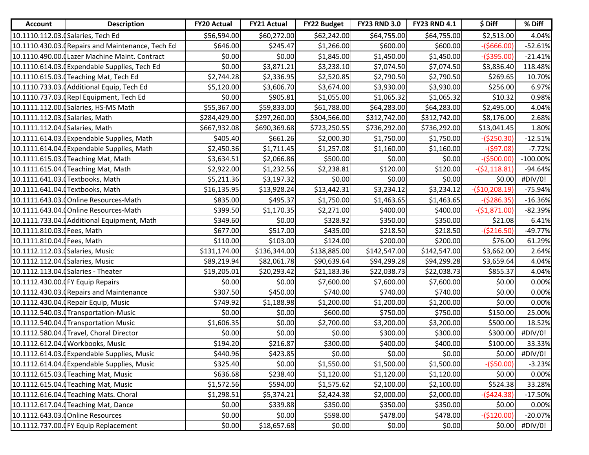| <b>Account</b>                   | <b>Description</b>                                | <b>FY20 Actual</b> | <b>FY21 Actual</b> | FY22 Budget  | <b>FY23 RND 3.0</b> | <b>FY23 RND 4.1</b> | \$ Diff         | % Diff          |
|----------------------------------|---------------------------------------------------|--------------------|--------------------|--------------|---------------------|---------------------|-----------------|-----------------|
|                                  | 10.1110.112.03. (Salaries, Tech Ed                | \$56,594.00        | \$60,272.00        | \$62,242.00  | \$64,755.00         | \$64,755.00         | \$2,513.00      | 4.04%           |
|                                  | 10.1110.430.03. (Repairs and Maintenance, Tech Ed | \$646.00           | \$245.47           | \$1,266.00   | \$600.00            | \$600.00]           | $-($666.00)$    | $-52.61%$       |
|                                  | 10.1110.490.00. (Lazer Machine Maint. Contract    | \$0.00             | \$0.00             | \$1,845.00   | \$1,450.00          | \$1,450.00          | $-($395.00)$    | $-21.41%$       |
|                                  | 10.1110.614.03. (Expendable Supplies, Tech Ed     | \$0.00             | \$3,871.21         | \$3,238.10   | \$7,074.50          | \$7,074.50          | \$3,836.40      | 118.48%         |
|                                  | 10.1110.615.03. Teaching Mat, Tech Ed             | \$2,744.28         | \$2,336.95         | \$2,520.85   | \$2,790.50          | \$2,790.50          | \$269.65        | 10.70%          |
|                                  | 10.1110.733.03.0 Additional Equip, Tech Ed        | \$5,120.00         | \$3,606.70         | \$3,674.00   | \$3,930.00          | \$3,930.00          | \$256.00        | 6.97%           |
|                                  | 10.1110.737.03. (Repl Equipment, Tech Ed          | \$0.00             | \$905.81           | \$1,055.00   | \$1,065.32          | \$1,065.32          | \$10.32         | 0.98%           |
|                                  | 10.1111.112.00. (Salaries, HS-MS Math             | \$55,367.00        | \$59,833.00        | \$61,788.00  | \$64,283.00         | \$64,283.00         | \$2,495.00      | 4.04%           |
| 10.1111.112.03. (Salaries, Math  |                                                   | \$284,429.00       | \$297,260.00       | \$304,566.00 | \$312,742.00        | \$312,742.00        | \$8,176.00      | 2.68%           |
| 10.1111.112.04. (Salaries, Math  |                                                   | \$667,932.08       | \$690,369.68       | \$723,250.55 | \$736,292.00        | \$736,292.00        | \$13,041.45     | 1.80%           |
|                                  | 10.1111.614.03. (Expendable Supplies, Math        | \$405.40           | \$661.26           | \$2,000.30   | \$1,750.00          | \$1,750.00          | $-($250.30)$    | $-12.51%$       |
|                                  | 10.1111.614.04. Expendable Supplies, Math         | \$2,450.36         | \$1,711.45         | \$1,257.08   | \$1,160.00          | \$1,160.00          | $-($97.08)$     | $-7.72%$        |
|                                  | 10.1111.615.03.0 Teaching Mat, Math               | \$3,634.51         | \$2,066.86         | \$500.00     | \$0.00              | \$0.00              | $-($500.00)$    | $-100.00\%$     |
|                                  | 10.1111.615.04. (Teaching Mat, Math               | \$2,922.00         | \$1,232.56         | \$2,238.81   | \$120.00            | \$120.00            | $-(52, 118.81)$ | $-94.64%$       |
|                                  | 10.1111.641.03.(Textbooks, Math                   | \$5,211.36         | \$3,197.32         | \$0.00       | \$0.00              | \$0.00              | \$0.00          | #DIV/0!         |
|                                  | 10.1111.641.04. (Textbooks, Math                  | \$16,135.95        | \$13,928.24        | \$13,442.31  | \$3,234.12          | \$3,234.12          | $-($10,208.19)$ | $-75.94%$       |
|                                  | 10.1111.643.03.0 Online Resources-Math            | \$835.00           | \$495.37           | \$1,750.00   | \$1,463.65          | \$1,463.65          | $-($286.35)$    | $-16.36%$       |
|                                  | 10.1111.643.04. (Online Resources-Math            | \$399.50           | \$1,170.35         | \$2,271.00   | \$400.00            | \$400.00            | $-($1,871.00)$  | $-82.39%$       |
|                                  | 10.1111.733.04. (Additional Equipment, Math       | \$349.60           | \$0.00             | \$328.92     | \$350.00            | \$350.00            | \$21.08         | 6.41%           |
| 10.1111.810.03. (Fees, Math      |                                                   | \$677.00           | \$517.00           | \$435.00     | \$218.50            | \$218.50            | $-($216.50)$    | $-49.77%$       |
| 10.1111.810.04. (Fees, Math      |                                                   | \$110.00           | \$103.00           | \$124.00     | \$200.00            | \$200.00            | \$76.00         | 61.29%          |
| 10.1112.112.03. (Salaries, Music |                                                   | \$131,174.00       | \$136,344.00       | \$138,885.00 | \$142,547.00        | \$142,547.00        | \$3,662.00      | 2.64%           |
| 10.1112.112.04. (Salaries, Music |                                                   | \$89,219.94        | \$82,061.78        | \$90,639.64  | \$94,299.28         | \$94,299.28         | \$3,659.64      | 4.04%           |
|                                  | 10.1112.113.04. (Salaries - Theater               | \$19,205.01        | \$20,293.42        | \$21,183.36  | \$22,038.73         | \$22,038.73         | \$855.37        | 4.04%           |
|                                  | 10.1112.430.00.0FY Equip Repairs                  | \$0.00             | \$0.00             | \$7,600.00   | \$7,600.00          | \$7,600.00          | \$0.00          | 0.00%           |
|                                  | 10.1112.430.03. (Repairs and Maintenance          | \$307.50           | \$450.00           | \$740.00     | \$740.00            | \$740.00            | \$0.00          | 0.00%           |
|                                  | 10.1112.430.04. (Repair Equip, Music              | \$749.92           | \$1,188.98         | \$1,200.00   | \$1,200.00          | \$1,200.00          | \$0.00          | 0.00%           |
|                                  | 10.1112.540.03.0Transportation-Music              | \$0.00             | \$0.00             | \$600.00     | \$750.00            | \$750.00            | \$150.00        | 25.00%          |
|                                  | 10.1112.540.04.0Transportation Music              | \$1,606.35         | \$0.00             | \$2,700.00   | \$3,200.00          | \$3,200.00          | \$500.00        | 18.52%          |
|                                  | 10.1112.580.04. Travel, Choral Director           | \$0.00             | \$0.00             | \$0.00       | \$300.00            | \$300.00            | \$300.00        | #DIV/0!         |
|                                  | 10.1112.612.04.0 Workbooks, Music                 | \$194.20           | \$216.87           | \$300.00     | \$400.00            | \$400.00            | \$100.00        | 33.33%          |
|                                  | 10.1112.614.03. Expendable Supplies, Music        | \$440.96           | \$423.85           | \$0.00       | \$0.00              | \$0.00              |                 | $$0.00$ #DIV/0! |
|                                  | 10.1112.614.04.0Expendable Supplies, Music        | \$325.40           | \$0.00             | \$1,550.00   | \$1,500.00          | \$1,500.00          | $-($50.00)$     | $-3.23%$        |
|                                  | 10.1112.615.03. Teaching Mat, Music               | \$636.68           | \$238.40           | \$1,120.00   | \$1,120.00          | \$1,120.00          | \$0.00          | 0.00%           |
|                                  | 10.1112.615.04. (Teaching Mat, Music              | \$1,572.56         | \$594.00           | \$1,575.62   | \$2,100.00          | \$2,100.00          | \$524.38        | 33.28%          |
|                                  | 10.1112.616.04. (Teaching Mats. Choral            | \$1,298.51         | \$5,374.21         | \$2,424.38   | \$2,000.00          | \$2,000.00          | $-($424.38)$    | $-17.50%$       |
|                                  | 10.1112.617.04. Teaching Mat, Dance               | \$0.00             | \$339.88           | \$350.00     | \$350.00            | \$350.00            | \$0.00          | 0.00%           |
|                                  | 10.1112.643.03. (Online Resources                 | \$0.00             | \$0.00             | \$598.00     | \$478.00            | \$478.00            | $-($120.00)$    | $-20.07%$       |
|                                  | 10.1112.737.00.0FY Equip Replacement              | \$0.00             | \$18,657.68        | \$0.00       | \$0.00              | \$0.00              | \$0.00          | #DIV/0!         |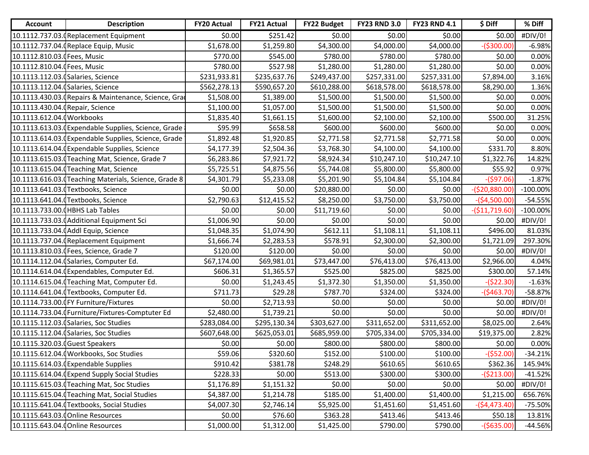| <b>Account</b>                   | <b>Description</b>                                   | <b>FY20 Actual</b> | <b>FY21 Actual</b> | <b>FY22 Budget</b> | <b>FY23 RND 3.0</b> | <b>FY23 RND 4.1</b> | \$ Diff         | % Diff      |
|----------------------------------|------------------------------------------------------|--------------------|--------------------|--------------------|---------------------|---------------------|-----------------|-------------|
|                                  | 10.1112.737.03. Replacement Equipment                | \$0.00             | \$251.42           | \$0.00             | \$0.00              | \$0.00              | \$0.00          | #DIV/0!     |
|                                  | 10.1112.737.04. (Replace Equip, Music                | \$1,678.00         | \$1,259.80         | \$4,300.00         | \$4,000.00          | \$4,000.00          | $-($300.00)$    | $-6.98%$    |
| 10.1112.810.03. [Fees, Music     |                                                      | \$770.00           | \$545.00           | \$780.00           | \$780.00            | \$780.00            | \$0.00          | 0.00%       |
| 10.1112.810.04. [Fees, Music     |                                                      | \$780.00           | \$527.98           | \$1,280.00         | \$1,280.00          | \$1,280.00          | \$0.00          | 0.00%       |
|                                  | 10.1113.112.03. (Salaries, Science                   | \$231,933.81       | \$235,637.76       | \$249,437.00       | \$257,331.00        | \$257,331.00        | \$7,894.00      | 3.16%       |
|                                  | 10.1113.112.04. (Salaries, Science                   | \$562,278.13       | \$590,657.20       | \$610,288.00       | \$618,578.00        | \$618,578.00        | \$8,290.00      | 1.36%       |
|                                  | 10.1113.430.03. Repairs & Maintenance, Science, Gra  | \$1,508.00         | \$1,389.00         | \$1,500.00         | \$1,500.00          | \$1,500.00          | \$0.00          | 0.00%       |
| 10.1113.430.04. (Repair, Science |                                                      | \$1,100.00         | \$1,057.00         | \$1,500.00         | \$1,500.00          | \$1,500.00          | \$0.00          | 0.00%       |
| 10.1113.612.04.0Workbooks        |                                                      | \$1,835.40         | \$1,661.15         | \$1,600.00         | \$2,100.00          | \$2,100.00          | \$500.00        | 31.25%      |
|                                  | 10.1113.613.03. Expendable Supplies, Science, Grade  | \$95.99            | \$658.58           | \$600.00           | \$600.00            | \$600.00            | \$0.00          | 0.00%       |
|                                  | 10.1113.614.03. Expendable Supplies, Science, Grade  | \$1,892.48         | \$1,920.85         | \$2,771.58         | \$2,771.58          | \$2,771.58          | \$0.00          | 0.00%       |
|                                  | 10.1113.614.04. (Expendable Supplies, Science        | \$4,177.39         | \$2,504.36         | \$3,768.30         | \$4,100.00          | \$4,100.00          | \$331.70        | 8.80%       |
|                                  | 10.1113.615.03. (Teaching Mat, Science, Grade 7      | \$6,283.86         | \$7,921.72         | \$8,924.34         | \$10,247.10         | \$10,247.10         | \$1,322.76      | 14.82%      |
|                                  | 10.1113.615.04. Teaching Mat, Science                | \$5,725.51         | \$4,875.56         | \$5,744.08         | \$5,800.00          | \$5,800.00          | \$55.92         | 0.97%       |
|                                  | 10.1113.616.03. Teaching Materials, Science, Grade 8 | \$4,301.79         | \$5,233.08         | \$5,201.90         | \$5,104.84          | \$5,104.84          | $-($97.06)$     | $-1.87%$    |
|                                  | 10.1113.641.03. (Textbooks, Science                  | \$0.00             | \$0.00             | \$20,880.00        | \$0.00              | \$0.00              | $-($20,880.00)$ | $-100.00\%$ |
|                                  | 10.1113.641.04. Textbooks, Science                   | \$2,790.63         | \$12,415.52        | \$8,250.00         | \$3,750.00          | \$3,750.00          | $-($4,500.00)$  | $-54.55%$   |
|                                  | 10.1113.733.00.0HBHS Lab Tables                      | \$0.00             | \$0.00             | \$11,719.60        | \$0.00              | \$0.00              | $-($11,719.60)$ | $-100.00\%$ |
|                                  | 10.1113.733.03.0 Additional Equipment Sci            | \$1,006.90         | \$0.00             | \$0.00             | \$0.00              | \$0.00              | \$0.00          | #DIV/0!     |
|                                  | 10.1113.733.04.0 Addl Equip, Science                 | \$1,048.35         | \$1,074.90         | \$612.11           | \$1,108.11          | \$1,108.11          | \$496.00        | 81.03%      |
|                                  | 10.1113.737.04. (Replacement Equipment               | \$1,666.74         | \$2,283.53         | \$578.91           | \$2,300.00          | \$2,300.00          | \$1,721.09      | 297.30%     |
|                                  | 10.1113.810.03. (Fees, Science, Grade 7              | \$120.00           | \$120.00           | \$0.00             | \$0.00              | \$0.00              | \$0.00          | #DIV/0!     |
|                                  | 10.1114.112.04. (Salaries, Computer Ed.              | \$67,174.00        | \$69,981.01        | \$73,447.00        | \$76,413.00         | \$76,413.00         | \$2,966.00      | 4.04%       |
|                                  | 10.1114.614.04. (Expendables, Computer Ed.           | \$606.31           | \$1,365.57         | \$525.00           | \$825.00            | \$825.00            | \$300.00        | 57.14%      |
|                                  | 10.1114.615.04. Teaching Mat, Computer Ed.           | \$0.00             | \$1,243.45         | \$1,372.30         | \$1,350.00          | \$1,350.00          | $-($22.30)$     | $-1.63%$    |
|                                  | 10.1114.641.04. Textbooks, Computer Ed.              | \$711.73           | \$29.28            | \$787.70           | \$324.00            | \$324.00            | $-($463.70)$    | $-58.87%$   |
|                                  | 10.1114.733.00. FY Furniture/Fixtures                | \$0.00             | \$2,713.93         | \$0.00             | \$0.00              | \$0.00              | \$0.00          | #DIV/0!     |
|                                  | 10.1114.733.04.0Furniture/Fixtures-Comptuter Ed      | \$2,480.00         | \$1,739.21         | \$0.00             | \$0.00              | \$0.00              | \$0.00          | #DIV/0!     |
|                                  | 10.1115.112.03. (Salaries, Soc Studies               | \$283,084.00       | \$295,130.34       | \$303,627.00       | \$311,652.00        | \$311,652.00        | \$8,025.00      | 2.64%       |
|                                  | 10.1115.112.04. (Salaries, Soc Studies               | \$607,648.00       | \$625,053.01       | \$685,959.00       | \$705,334.00        | \$705,334.00        | \$19,375.00     | 2.82%       |
| 10.1115.320.03.0 Guest Speakers  |                                                      | \$0.00             | \$0.00             | \$800.00           | \$800.00            | \$800.00            | \$0.00          | 0.00%       |
|                                  | 10.1115.612.04. (Workbooks, Soc Studies              | \$59.06            | \$320.60           | \$152.00           | \$100.00            | \$100.00            | $-($52.00)$     | $-34.21%$   |
|                                  | 10.1115.614.03. (Expendable Supplies                 | \$910.42           | \$381.78           | \$248.29           | \$610.65            | \$610.65            | \$362.36        | 145.94%     |
|                                  | 10.1115.614.04. Expend Supply Social Studies         | \$228.33           | \$0.00             | \$513.00           | \$300.00            | \$300.00            | $-($213.00)$    | $-41.52%$   |
|                                  | 10.1115.615.03. Teaching Mat, Soc Studies            | \$1,176.89         | \$1,151.32         | \$0.00             | \$0.00              | \$0.00              | \$0.00          | #DIV/0!     |
|                                  | 10.1115.615.04. Teaching Mat, Social Studies         | \$4,387.00         | \$1,214.78         | \$185.00           | \$1,400.00          | \$1,400.00          | \$1,215.00      | 656.76%     |
|                                  | 10.1115.641.04. (Textbooks, Social Studies           | \$4,007.30         | \$2,746.14         | \$5,925.00         | \$1,451.60          | \$1,451.60          | $-($4,473.40)$  | $-75.50%$   |
|                                  | 10.1115.643.03. Online Resources                     | \$0.00             | \$76.60            | \$363.28           | \$413.46            | \$413.46            | \$50.18         | 13.81%      |
|                                  | 10.1115.643.04. (Online Resources                    | \$1,000.00         | \$1,312.00         | \$1,425.00         | \$790.00            | \$790.00            | $-($635.00)$    | $-44.56%$   |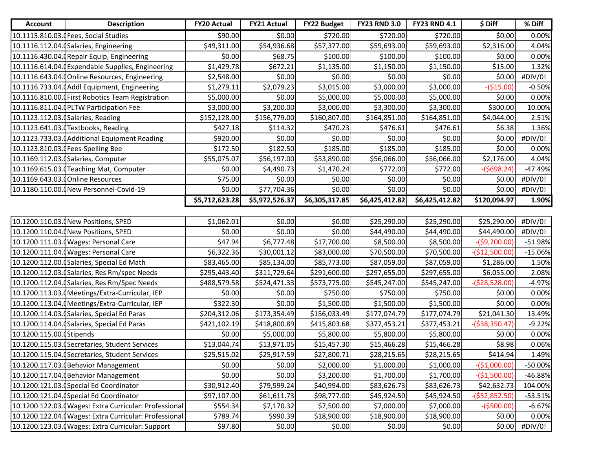| <b>Account</b>           | <b>Description</b>                                    | <b>FY20 Actual</b> | <b>FY21 Actual</b> | <b>FY22 Budget</b> | <b>FY23 RND 3.0</b> | <b>FY23 RND 4.1</b> | \$ Diff         | % Diff    |
|--------------------------|-------------------------------------------------------|--------------------|--------------------|--------------------|---------------------|---------------------|-----------------|-----------|
|                          | 10.1115.810.03. Fees, Social Studies                  | \$90.00            | \$0.00             | \$720.00           | \$720.00            | \$720.00            | \$0.00          | 0.00%     |
|                          | 10.1116.112.04. (Salaries, Engineering                | \$49,311.00        | \$54,936.68        | \$57,377.00        | \$59,693.00         | \$59,693.00         | \$2,316.00      | 4.04%     |
|                          | 10.1116.430.04. (Repair Equip, Engineering            | \$0.00             | \$68.75            | \$100.00           | \$100.00            | \$100.00            | \$0.00          | 0.00%     |
|                          | 10.1116.614.04. Expendable Supplies, Engineering      | \$1,429.78         | \$672.21           | \$1,135.00         | \$1,150.00          | \$1,150.00          | \$15.00         | 1.32%     |
|                          | 10.1116.643.04. (Online Resources, Engineering        | \$2,548.00         | \$0.00             | \$0.00             | \$0.00              | \$0.00              | \$0.00          | #DIV/0!   |
|                          | 10.1116.733.04. (Addl Equipment, Engineering          | \$1,279.11         | \$2,079.23         | \$3,015.00         | \$3,000.00          | \$3,000.00          | $-($15.00)$     | $-0.50%$  |
|                          | 10.1116.810.00. First Robotics Team Registration      | \$5,000.00         | \$0.00             | \$5,000.00         | \$5,000.00          | \$5,000.00          | \$0.00          | 0.00%     |
|                          | 10.1116.811.04. (PLTW Participation Fee               | \$3,000.00         | \$3,200.00         | \$3,000.00         | \$3,300.00          | \$3,300.00          | \$300.00        | 10.00%    |
|                          | 10.1123.112.03.0 Salaries, Reading                    | \$152,128.00       | \$156,779.00       | \$160,807.00       | \$164,851.00        | \$164,851.00        | \$4,044.00      | 2.51%     |
|                          | 10.1123.641.03. Textbooks, Reading                    | \$427.18           | \$114.32           | \$470.23           | \$476.61            | \$476.61            | \$6.38          | 1.36%     |
|                          | 10.1123.733.03. (Additional Equipment Reading         | \$920.00           | \$0.00             | \$0.00             | \$0.00              | \$0.00              | \$0.00          | #DIV/0!   |
|                          | 10.1123.810.03. (Fees-Spelling Bee                    | \$172.50           | \$182.50           | \$185.00           | \$185.00            | \$185.00            | \$0.00          | 0.00%     |
|                          | 10.1169.112.03. (Salaries, Computer                   | \$55,075.07        | \$56,197.00        | \$53,890.00        | \$56,066.00         | \$56,066.00         | \$2,176.00      | 4.04%     |
|                          | 10.1169.615.03. Teaching Mat, Computer                | \$0.00             | \$4,490.73         | \$1,470.24         | \$772.00            | \$772.00            | $-($698.24)$    | $-47.49%$ |
|                          | 10.1169.643.03.0 Online Resources                     | \$75.00            | \$0.00             | \$0.00             | \$0.00              | \$0.00              | \$0.00          | #DIV/0!   |
|                          | 10.1180.110.00. (New Personnel-Covid-19               | \$0.00             | \$77,704.36        | \$0.00             | \$0.00              | \$0.00              | \$0.00          | #DIV/0!   |
|                          |                                                       | \$5,712,623.28     | \$5,972,526.37     | \$6,305,317.85     | \$6,425,412.82      | \$6,425,412.82      | \$120,094.97    | 1.90%     |
|                          |                                                       |                    |                    |                    |                     |                     |                 |           |
|                          | 10.1200.110.03. (New Positions, SPED                  | \$1,062.01         | \$0.00             | \$0.00             | \$25,290.00         | \$25,290.00         | \$25,290.00     | #DIV/0!   |
|                          | 10.1200.110.04. (New Positions, SPED                  | \$0.00             | \$0.00             | \$0.00             | \$44,490.00         | \$44,490.00         | \$44,490.00     | #DIV/0!   |
|                          | 10.1200.111.03.0 Wages: Personal Care                 | \$47.94            | \$6,777.48         | \$17,700.00        | \$8,500.00          | \$8,500.00          | $-($9,200.00)$  | $-51.98%$ |
|                          | 10.1200.111.04. (Wages: Personal Care                 | \$6,322.36         | \$30,001.12        | \$83,000.00        | \$70,500.00         | \$70,500.00         | $-($12,500.00)$ | $-15.06%$ |
|                          | 10.1200.112.00. (Salaries, Special Ed Math            | \$83,465.00        | \$85,134.00        | \$85,773.00        | \$87,059.00         | \$87,059.00         | \$1,286.00      | 1.50%     |
|                          | 10.1200.112.03.0 Salaries, Res Rm/spec Needs          | \$295,443.40       | \$311,729.64       | \$291,600.00       | \$297,655.00        | \$297,655.00        | \$6,055.00      | 2.08%     |
|                          | 10.1200.112.04. (Salaries, Res Rm/Spec Needs          | \$488,579.58       | \$524,471.33       | \$573,775.00       | \$545,247.00        | \$545,247.00        | $-($28,528.00)$ | $-4.97%$  |
|                          | 10.1200.113.03. (Meetings/Extra-Curricular, IEP       | \$0.00             | \$0.00             | \$750.00           | \$750.00            | \$750.00            | \$0.00          | 0.00%     |
|                          | 10.1200.113.04.0 Meetings/Extra-Curricular, IEP       | \$322.30           | \$0.00             | \$1,500.00         | \$1,500.00          | \$1,500.00          | \$0.00          | 0.00%     |
|                          | 10.1200.114.03. (Salaries, Special Ed Paras           | \$204,312.06       | \$173,354.49       | \$156,033.49       | \$177,074.79        | \$177,074.79        | \$21,041.30     | 13.49%    |
|                          | 10.1200.114.04. (Salaries, Special Ed Paras           | \$421,102.19       | \$418,800.89       | \$415,803.68       | \$377,453.21        | \$377,453.21        | $-($38,350.47)$ | $-9.22%$  |
| 10.1200.115.00.0Stipends |                                                       | \$0.00             | \$5,000.00         | \$5,800.00         | \$5,800.00          | \$5,800.00          | \$0.00          | 0.00%     |
|                          | 10.1200.115.03. (Secretaries, Student Services        | \$13,044.74        | \$13,971.05        | \$15,457.30        | \$15,466.28         | \$15,466.28         | \$8.98          | 0.06%     |
|                          | 10.1200.115.04. (Secretaries, Student Services        | \$25,515.02        | \$25,917.59        | \$27,800.71        | \$28,215.65         | \$28,215.65         | \$414.94        | 1.49%     |
|                          | 10.1200.117.03. (Behavior Management                  | \$0.00             | \$0.00             | \$2,000.00         | \$1,000.00          | \$1,000.00          | $-($1,000.00)$  | $-50.00%$ |
|                          | 10.1200.117.04. (Behavior Management                  | \$0.00             | \$0.00             | \$3,200.00         | \$1,700.00          | \$1,700.00          | $-($1,500.00)$  | -46.88%   |
|                          | 10.1200.121.03. (Special Ed Coordinator               | \$30,912.40        | \$79,599.24        | \$40,994.00        | \$83,626.73         | \$83,626.73         | \$42,632.73     | 104.00%   |
|                          | 10.1200.121.04. (Special Ed Coordinator               | \$97,107.00        | \$61,611.73        | \$98,777.00        | \$45,924.50         | \$45,924.50         | $-($52,852.50)$ | $-53.51%$ |
|                          | 10.1200.122.03. Wages: Extra Curricular: Professional | \$554.34           | \$7,170.32         | \$7,500.00         | \$7,000.00          | \$7,000.00          | $-($500.00)$    | $-6.67%$  |
|                          | 10.1200.122.04. Wages: Extra Curricular: Professional | \$789.74           | \$990.39           | \$18,900.00        | \$18,900.00         | \$18,900.00         | \$0.00          | 0.00%     |
|                          | 10.1200.123.03. Wages: Extra Curricular: Support      | \$97.80            | \$0.00             | \$0.00             | \$0.00              | \$0.00              | \$0.00          | #DIV/0!   |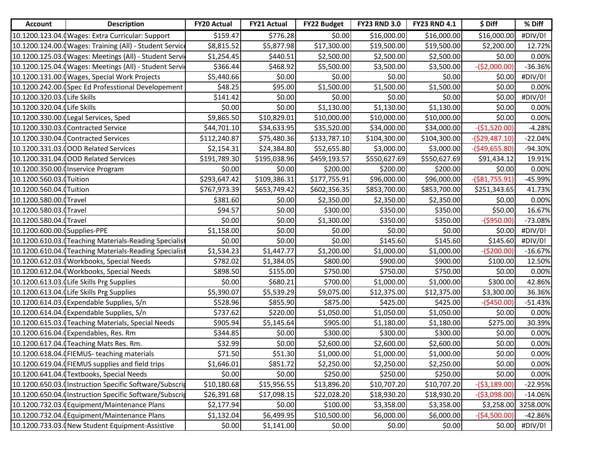| <b>Account</b>                | <b>Description</b>                                       | <b>FY20 Actual</b> | <b>FY21 Actual</b> | <b>FY22 Budget</b> | <b>FY23 RND 3.0</b> | <b>FY23 RND 4.1</b> | \$ Diff         | % Diff    |
|-------------------------------|----------------------------------------------------------|--------------------|--------------------|--------------------|---------------------|---------------------|-----------------|-----------|
|                               | 10.1200.123.04. (Wages: Extra Curricular: Support        | \$159.47           | \$776.28           | \$0.00             | \$16,000.00         | \$16,000.00         | \$16,000.00     | #DIV/0!   |
|                               | 10.1200.124.00. (Wages: Training (All) - Student Service | \$8,815.52         | \$5,877.98         | \$17,300.00        | \$19,500.00         | \$19,500.00         | \$2,200.00      | 12.72%    |
|                               | 10.1200.125.03. Wages: Meetings (All) - Student Servi    | \$1,254.45         | \$440.51           | \$2,500.00         | \$2,500.00          | \$2,500.00          | \$0.00          | 0.00%     |
|                               | 10.1200.125.04. (Wages: Meetings (All) - Student Servi   | \$366.44           | \$468.92           | \$5,500.00         | \$3,500.00          | \$3,500.00          | $-($2,000.00)$  | $-36.36%$ |
|                               | 10.1200.131.00.0 Wages, Special Work Projects            | \$5,440.66         | \$0.00             | \$0.00             | \$0.00              | \$0.00              | \$0.00          | #DIV/0!   |
|                               | 10.1200.242.00. Spec Ed Professtional Developement       | \$48.25            | \$95.00            | \$1,500.00         | \$1,500.00          | \$1,500.00          | \$0.00          | 0.00%     |
| 10.1200.320.03. Life Skills   |                                                          | \$141.42           | \$0.00             | \$0.00             | \$0.00              | \$0.00              | \$0.00          | #DIV/0!   |
| 10.1200.320.04. Life Skills   |                                                          | \$0.00             | \$0.00             | \$1,130.00         | \$1,130.00          | \$1,130.00          | \$0.00          | 0.00%     |
|                               | 10.1200.330.00.0Legal Services, Sped                     | \$9,865.50         | \$10,829.01        | \$10,000.00        | \$10,000.00         | \$10,000.00         | \$0.00          | 0.00%     |
|                               | 10.1200.330.03. (Contracted Service                      | \$44,701.10        | \$34,633.95        | \$35,520.00        | \$34,000.00         | \$34,000.00         | $-($1,520.00)$  | $-4.28%$  |
|                               | 10.1200.330.04.0 Contracted Services                     | \$112,240.87       | \$75,480.36        | \$133,787.10       | \$104,300.00        | \$104,300.00        | $-($29,487.10)$ | $-22.04%$ |
|                               | 10.1200.331.03.000D Related Services                     | \$2,154.31         | \$24,384.80        | \$52,655.80        | \$3,000.00          | \$3,000.00          | $-($49,655.80)$ | -94.30%   |
|                               | 10.1200.331.04.000D Related Services                     | \$191,789.30       | \$195,038.96       | \$459,193.57       | \$550,627.69        | \$550,627.69        | \$91,434.12     | 19.91%    |
|                               | 10.1200.350.00.0 Inservice Program                       | \$0.00             | \$0.00             | \$200.00           | \$200.00            | \$200.00            | \$0.00          | 0.00%     |
| 10.1200.560.03.0Tuition       |                                                          | \$293,647.42       | \$109,386.31       | \$177,755.91       | \$96,000.00         | \$96,000.00         | $($ \$81,755.91 | -45.99%   |
| 10.1200.560.04. Tuition       |                                                          | \$767,973.39       | \$653,749.42       | \$602,356.35       | \$853,700.00        | \$853,700.00        | \$251,343.65    | 41.73%    |
| 10.1200.580.00.0Travel        |                                                          | \$381.60           | \$0.00             | \$2,350.00         | \$2,350.00          | \$2,350.00          | \$0.00          | 0.00%     |
| 10.1200.580.03.0Travel        |                                                          | \$94.57            | \$0.00             | \$300.00           | \$350.00            | \$350.00            | \$50.00         | 16.67%    |
| 10.1200.580.04.0Travel        |                                                          | \$0.00             | \$0.00             | \$1,300.00         | \$350.00            | \$350.00            | $-($950.00)$    | $-73.08%$ |
| 10.1200.600.00. (Supplies-PPE |                                                          | \$1,158.00         | \$0.00             | \$0.00             | \$0.00              | \$0.00              | \$0.00          | #DIV/0!   |
|                               | 10.1200.610.03. (Teaching Materials-Reading Specialist   | \$0.00             | \$0.00             | \$0.00             | \$145.60            | \$145.60            | \$145.60        | #DIV/0!   |
|                               | 10.1200.610.04. Teaching Materials-Reading Specialist    | \$1,534.23         | \$1,447.77         | \$1,200.00         | \$1,000.00          | \$1,000.00          | $-($200.00)$    | $-16.67%$ |
|                               | 10.1200.612.03. (Workbooks, Special Needs                | \$782.02           | \$1,384.05         | \$800.00           | \$900.00            | \$900.00            | \$100.00        | 12.50%    |
|                               | 10.1200.612.04.0 Workbooks, Special Needs                | \$898.50           | \$155.00           | \$750.00           | \$750.00            | \$750.00            | \$0.00          | 0.00%     |
|                               | 10.1200.613.03.0 Life Skills Prg Supplies                | \$0.00             | \$680.21           | \$700.00           | \$1,000.00          | \$1,000.00          | \$300.00        | 42.86%    |
|                               | 10.1200.613.04. Life Skills Prg Supplies                 | \$5,390.07         | \$5,539.29         | \$9,075.00         | \$12,375.00         | \$12,375.00         | \$3,300.00      | 36.36%    |
|                               | 10.1200.614.03.0Expendable Supplies, S/n                 | \$528.96           | \$855.90           | \$875.00           | \$425.00            | \$425.00            | $-($450.00)$    | $-51.43%$ |
|                               | 10.1200.614.04.0Expendable Supplies, S/n                 | \$737.62           | \$220.00           | \$1,050.00         | \$1,050.00          | \$1,050.00          | \$0.00          | 0.00%     |
|                               | 10.1200.615.03.0 Teaching Materials, Special Needs       | \$905.94           | \$5,145.64         | \$905.00           | \$1,180.00          | \$1,180.00          | \$275.00        | 30.39%    |
|                               | 10.1200.616.04.0Expendables, Res. Rm                     | \$344.85           | \$0.00             | \$300.00           | \$300.00            | \$300.00            | \$0.00          | 0.00%     |
|                               | 10.1200.617.04. (Teaching Mats Res. Rm.                  | \$32.99            | \$0.00             | \$2,600.00         | \$2,600.00          | \$2,600.00          | \$0.00          | 0.00%     |
|                               | 10.1200.618.04. FIEMUS- teaching materials               | \$71.50            | \$51.30            | \$1,000.00         | \$1,000.00          | \$1,000.00          | \$0.00          | 0.00%     |
|                               | 10.1200.619.04. FIEMUS supplies and field trips          | \$1,646.01         | \$851.72           | \$2,250.00         | \$2,250.00          | \$2,250.00          | \$0.00          | 0.00%     |
|                               | 10.1200.641.04. (Textbooks, Special Needs                | \$0.00             | \$0.00             | \$250.00           | \$250.00            | \$250.00            | \$0.00          | 0.00%     |
|                               | 10.1200.650.03.0Instruction Specific Software/Subscrip   | \$10,180.68        | \$15,956.55        | \$13,896.20        | \$10,707.20         | \$10,707.20         | -(\$3,189.00)   | $-22.95%$ |
|                               | 10.1200.650.04. Instruction Specific Software/Subscrip   | \$26,391.68        | \$17,098.15        | \$22,028.20        | \$18,930.20         | \$18,930.20         | $-($3,098.00)$  | $-14.06%$ |
|                               | 10.1200.732.03. (Equipment/Maintenance Plans             | \$2,177.94         | \$0.00             | \$100.00           | \$3,358.00          | \$3,358.00          | \$3,258.00      | 3258.00%  |
|                               | 10.1200.732.04. (Equipment/Maintenance Plans             | \$1,132.04         | \$6,499.95         | \$10,500.00        | \$6,000.00          | \$6,000.00          | $-($4,500.00)$  | $-42.86%$ |
|                               | 10.1200.733.03. (New Student Equipment-Assistive         | \$0.00             | \$1,141.00         | \$0.00             | \$0.00              | \$0.00              | \$0.00          | #DIV/0!   |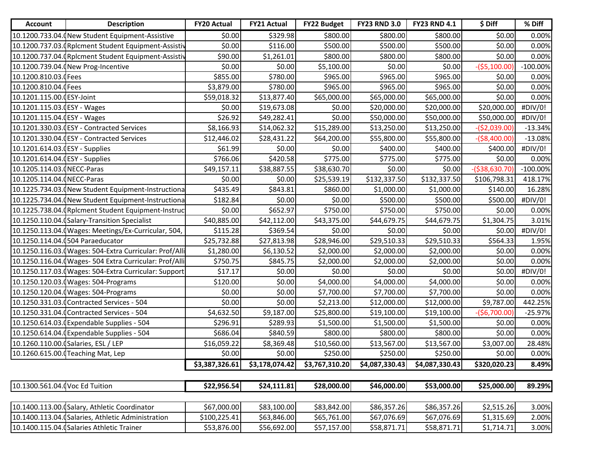| <b>Account</b>                  | <b>Description</b>                                      | <b>FY20 Actual</b> | <b>FY21 Actual</b> | <b>FY22 Budget</b> | <b>FY23 RND 3.0</b> | <b>FY23 RND 4.1</b> | \$ Diff         | % Diff      |
|---------------------------------|---------------------------------------------------------|--------------------|--------------------|--------------------|---------------------|---------------------|-----------------|-------------|
|                                 | 10.1200.733.04.0New Student Equipment-Assistive         | \$0.00             | \$329.98           | \$800.00           | \$800.00            | \$800.00            | \$0.00          | 0.00%       |
|                                 | 10.1200.737.03. (Rplcment Student Equipment-Assistiv    | \$0.00             | \$116.00           | \$500.00           | \$500.00            | \$500.00            | \$0.00          | 0.00%       |
|                                 | 10.1200.737.04. (Rplcment Student Equipment-Assistiv    | \$90.00            | \$1,261.01         | \$800.00           | \$800.00            | \$800.00            | \$0.00          | 0.00%       |
|                                 | 10.1200.739.04. (New Prog-Incentive                     | \$0.00             | \$0.00             | \$5,100.00         | \$0.00              | \$0.00              | $-($5,100.00)$  | $-100.00\%$ |
| 10.1200.810.03.0Fees            |                                                         | \$855.00           | \$780.00           | \$965.00           | \$965.00            | \$965.00            | \$0.00          | 0.00%       |
| 10.1200.810.04.0 Fees           |                                                         | \$3,879.00         | \$780.00           | \$965.00           | \$965.00            | \$965.00            | \$0.00          | 0.00%       |
| 10.1201.115.00. (ESY-Joint      |                                                         | \$59,018.32        | \$13,877.40        | \$65,000.00        | \$65,000.00         | \$65,000.00         | \$0.00          | 0.00%       |
| 10.1201.115.03. ESY - Wages     |                                                         | \$0.00             | \$19,673.08        | \$0.00             | \$20,000.00         | \$20,000.00         | \$20,000.00     | #DIV/0!     |
| 10.1201.115.04. ESY - Wages     |                                                         | \$26.92            | \$49,282.41        | \$0.00             | \$50,000.00         | \$50,000.00         | \$50,000.00     | #DIV/0!     |
|                                 | 10.1201.330.03. ESY - Contracted Services               | \$8,166.93         | \$14,062.32        | \$15,289.00        | \$13,250.00         | \$13,250.00         | $-($2,039.00)$  | $-13.34%$   |
|                                 | 10.1201.330.04. (ESY - Contracted Services              | \$12,446.02        | \$28,431.22        | \$64,200.00        | \$55,800.00         | \$55,800.00         | $-($8,400.00)$  | $-13.08%$   |
| 10.1201.614.03.0ESY - Supplies  |                                                         | \$61.99            | \$0.00             | \$0.00             | \$400.00            | \$400.00            | \$400.00        | #DIV/0!     |
| 10.1201.614.04. (ESY - Supplies |                                                         | \$766.06           | \$420.58           | \$775.00           | \$775.00            | \$775.00            | \$0.00          | 0.00%       |
| 10.1205.114.03. (NECC-Paras     |                                                         | \$49,157.11        | \$38,887.55        | \$38,630.70        | \$0.00              | \$0.00              | $-($38,630.70)$ | $-100.00\%$ |
| 10.1205.114.04. (NECC-Paras     |                                                         | \$0.00             | \$0.00             | \$25,539.19        | \$132,337.50        | \$132,337.50        | \$106,798.31    | 418.17%     |
|                                 | 10.1225.734.03.0New Student Equipment-Instructional     | \$435.49           | \$843.81           | \$860.00           | \$1,000.00          | \$1,000.00          | \$140.00        | 16.28%      |
|                                 | 10.1225.734.04.0New Student Equipment-Instructiona      | \$182.84           | \$0.00             | \$0.00             | \$500.00            | \$500.00            | \$500.00        | #DIV/0!     |
|                                 | 10.1225.738.04. (Rplcment Student Equipment-Instruc     | \$0.00             | \$652.97           | \$750.00           | \$750.00            | \$750.00            | \$0.00          | 0.00%       |
|                                 | 10.1250.110.04. (Salary-Transition Specialist           | \$40,885.00        | \$42,112.00        | \$43,375.00        | \$44,679.75         | \$44,679.75         | \$1,304.75      | 3.01%       |
|                                 | 10.1250.113.04. (Wages: Meetings/Ex-Curricular, 504,    | \$115.28           | \$369.54           | \$0.00             | \$0.00              | \$0.00              | \$0.00          | #DIV/0!     |
|                                 | 10.1250.114.04.0504 Paraeducator                        | \$25,732.88        | \$27,813.98        | \$28,946.00        | \$29,510.33         | \$29,510.33         | \$564.33        | 1.95%       |
|                                 | 10.1250.116.03. (Wages: 504-Extra Curricular: Prof/Alli | \$1,280.00         | \$6,130.52         | \$2,000.00         | \$2,000.00          | \$2,000.00          | \$0.00          | 0.00%       |
|                                 | 10.1250.116.04. (Wages- 504 Extra Curricular: Prof/Alli | \$750.75           | \$845.75           | \$2,000.00         | \$2,000.00          | \$2,000.00          | \$0.00          | 0.00%       |
|                                 | 10.1250.117.03. Wages: 504-Extra Curricular: Support    | \$17.17            | \$0.00             | \$0.00             | \$0.00              | \$0.00              | \$0.00          | #DIV/0!     |
|                                 | 10.1250.120.03.(Wages: 504-Programs                     | \$120.00           | \$0.00             | \$4,000.00         | \$4,000.00          | \$4,000.00          | \$0.00          | 0.00%       |
|                                 | 10.1250.120.04. (Wages: 504-Programs                    | \$0.00             | \$0.00             | \$7,700.00         | \$7,700.00          | \$7,700.00          | \$0.00          | 0.00%       |
|                                 | 10.1250.331.03.0 Contracted Services - 504              | \$0.00             | \$0.00             | \$2,213.00         | \$12,000.00         | \$12,000.00         | \$9,787.00      | 442.25%     |
|                                 | 10.1250.331.04. (Contracted Services - 504              | \$4,632.50         | \$9,187.00         | \$25,800.00        | \$19,100.00         | \$19,100.00         | $-($6,700.00)$  | $-25.97%$   |
|                                 | 10.1250.614.03.0Expendable Supplies - 504               | \$296.91           | \$289.93           | \$1,500.00         | \$1,500.00          | \$1,500.00          | \$0.00          | 0.00%       |
|                                 | 10.1250.614.04.0Expendable Supplies - 504               | \$686.04           | \$840.59           | \$800.00           | \$800.00            | \$800.00            | \$0.00          | 0.00%       |
|                                 | 10.1260.110.00. (Salaries, ESL / LEP                    | \$16,059.22        | \$8,369.48         | \$10,560.00        | \$13,567.00         | \$13,567.00         | \$3,007.00      | 28.48%      |
|                                 | 10.1260.615.00. Teaching Mat, Lep                       | \$0.00             | \$0.00             | \$250.00           | \$250.00            | \$250.00            | \$0.00          | 0.00%       |
|                                 |                                                         | \$3,387,326.61     | \$3,178,074.42     | \$3,767,310.20     | \$4,087,330.43      | \$4,087,330.43      | \$320,020.23    | 8.49%       |
|                                 |                                                         |                    |                    |                    |                     |                     |                 |             |
| 10.1300.561.04.0 Voc Ed Tuition |                                                         | \$22,956.54        | \$24,111.81        | \$28,000.00        | \$46,000.00         | \$53,000.00         | \$25,000.00     | 89.29%      |
|                                 |                                                         |                    |                    |                    |                     |                     |                 |             |
|                                 | 10.1400.113.00. (Salary, Athletic Coordinator           | \$67,000.00        | \$83,100.00        | \$83,842.00        | \$86,357.26         | \$86,357.26         | \$2,515.26      | 3.00%       |
|                                 | 10.1400.113.04. (Salaries, Athletic Administration      | \$100,225.41       | \$63,846.00        | \$65,761.00        | \$67,076.69         | \$67,076.69         | \$1,315.69      | 2.00%       |
|                                 | 10.1400.115.04. (Salaries Athletic Trainer              | \$53,876.00        | \$56,692.00        | \$57,157.00        | \$58,871.71         | \$58,871.71         | \$1,714.71      | 3.00%       |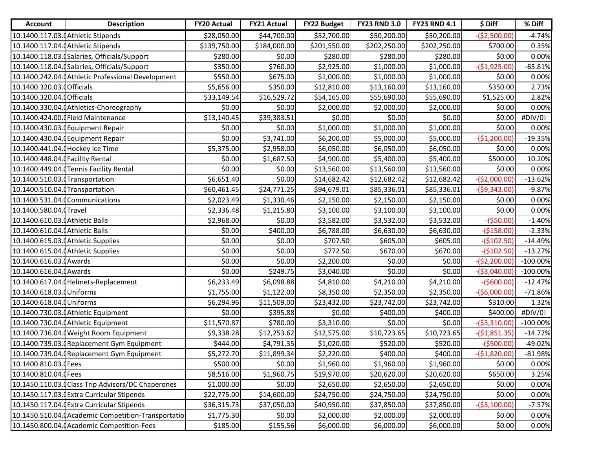| <b>Account</b>                   | <b>Description</b>                                  | <b>FY20 Actual</b> | <b>FY21 Actual</b> | <b>FY22 Budget</b> | <b>FY23 RND 3.0</b> | <b>FY23 RND 4.1</b> | \$ Diff        | % Diff      |
|----------------------------------|-----------------------------------------------------|--------------------|--------------------|--------------------|---------------------|---------------------|----------------|-------------|
|                                  | 10.1400.117.03.0 Athletic Stipends                  | \$28,050.00        | \$44,700.00        | \$52,700.00        | \$50,200.00         | \$50,200.00         | $-($2,500.00)$ | $-4.74%$    |
|                                  | 10.1400.117.04.0 Athletic Stipends                  | \$139,750.00       | \$184,000.00       | \$201,550.00       | \$202,250.00        | \$202,250.00        | \$700.00       | 0.35%       |
|                                  | 10.1400.118.03.0Salaries, Officials/Support         | \$280.00           | \$0.00             | \$280.00           | \$280.00            | \$280.00            | \$0.00         | 0.00%       |
|                                  | 10.1400.118.04. (Salaries, Officials/Support        | \$350.00           | \$760.00           | \$2,925.00         | \$1,000.00          | \$1,000.00          | $-($1,925.00)$ | $-65.81%$   |
|                                  | 10.1400.242.04. (Athletic Professional Development  | \$550.00           | \$675.00           | \$1,000.00         | \$1,000.00          | \$1,000.00          | \$0.00         | 0.00%       |
| 10.1400.320.03. <b>Officials</b> |                                                     | \$5,656.00         | \$350.00           | \$12,810.00        | \$13,160.00         | \$13,160.00         | \$350.00       | 2.73%       |
| 10.1400.320.04. (Officials       |                                                     | \$33,149.54        | \$16,529.72        | \$54,165.00        | \$55,690.00         | \$55,690.00         | \$1,525.00     | 2.82%       |
|                                  | 10.1400.330.04.0 Athletics-Choreography             | \$0.00             | \$0.00             | \$2,000.00         | \$2,000.00          | \$2,000.00          | \$0.00         | 0.00%       |
|                                  | 10.1400.424.00.0 Field Maintenance                  | \$13,140.45        | \$39,383.51        | \$0.00             | \$0.00              | \$0.00              | \$0.00         | #DIV/0!     |
|                                  | 10.1400.430.03. (Equipment Repair                   | \$0.00             | \$0.00             | \$1,000.00         | \$1,000.00          | \$1,000.00          | \$0.00         | 0.00%       |
|                                  | 10.1400.430.04. (Equipment Repair                   | \$0.00             | \$3,741.00         | \$6,200.00         | \$5,000.00          | \$5,000.00          | $-($1,200.00)$ | $-19.35%$   |
| 10.1400.441.04. Hockey Ice Time  |                                                     | \$5,375.00         | \$2,958.00         | \$6,050.00         | \$6,050.00          | \$6,050.00          | \$0.00         | 0.00%       |
| 10.1400.448.04.0 Facility Rental |                                                     | \$0.00             | \$1,687.50         | \$4,900.00         | \$5,400.00          | \$5,400.00          | \$500.00       | 10.20%      |
|                                  | 10.1400.449.04. Tennis Facility Rental              | \$0.00             | \$0.00             | \$13,560.00        | \$13,560.00         | \$13,560.00         | \$0.00         | 0.00%       |
| 10.1400.510.03. Transportation   |                                                     | \$6,651.40         | \$0.00             | \$14,682.42        | \$12,682.42         | \$12,682.42         | $-($2,000.00)$ | $-13.62%$   |
| 10.1400.510.04. Transportation   |                                                     | \$60,461.45        | \$24,771.25        | \$94,679.01        | \$85,336.01         | \$85,336.01         | $-($9,343.00)$ | $-9.87%$    |
|                                  | 10.1400.531.04.0Communications                      | \$2,023.49         | \$1,330.46         | \$2,150.00         | \$2,150.00          | \$2,150.00          | \$0.00         | 0.00%       |
| 10.1400.580.04.0Travel           |                                                     | \$2,336.48         | \$1,215.80         | \$3,100.00         | \$3,100.00          | \$3,100.00          | \$0.00         | 0.00%       |
| 10.1400.610.03.0 Athletic Balls  |                                                     | \$2,968.00         | \$0.00             | \$3,582.00         | \$3,532.00          | \$3,532.00          | $-($50.00)$    | $-1.40%$    |
| 10.1400.610.04.0 Athletic Balls  |                                                     | \$0.00             | \$400.00           | \$6,788.00         | \$6,630.00          | \$6,630.00          | $-($158.00)$   | $-2.33%$    |
|                                  | 10.1400.615.03.0Athletic Supplies                   | \$0.00             | \$0.00             | \$707.50           | \$605.00            | \$605.00            | $-($102.50)$   | $-14.49%$   |
|                                  | 10.1400.615.04.0 Athletic Supplies                  | \$0.00             | \$0.00             | \$772.50           | \$670.00            | \$670.00            | $-($102.50)$   | $-13.27%$   |
| 10.1400.616.03.0 Awards          |                                                     | \$0.00             | \$0.00             | \$2,200.00         | \$0.00              | \$0.00              | $-($2,200.00)$ | $-100.00\%$ |
| 10.1400.616.04. (Awards          |                                                     | \$0.00             | \$249.75           | \$3,040.00         | \$0.00              | \$0.00              | $-($3,040.00)$ | $-100.00\%$ |
|                                  | 10.1400.617.04. (Helmets-Replacement                | \$6,233.49         | \$6,098.88         | \$4,810.00         | \$4,210.00          | \$4,210.00          | $-($600.00)$   | $-12.47%$   |
| 10.1400.618.03.0Uniforms         |                                                     | \$1,755.00         | \$1,122.00         | \$8,350.00         | \$2,350.00          | \$2,350.00          | $-($6,000.00)$ | $-71.86%$   |
| 10.1400.618.04.0Uniforms         |                                                     | \$6,294.96         | \$11,509.00        | \$23,432.00        | \$23,742.00         | \$23,742.00         | \$310.00       | 1.32%       |
|                                  | 10.1400.730.03. (Athletic Equipment                 | \$0.00             | \$395.88           | \$0.00             | \$400.00            | \$400.00            | \$400.00]      | #DIV/0!     |
|                                  | 10.1400.730.04. (Athletic Equipment                 | \$11,570.87        | \$780.00           | \$3,310.00         | \$0.00              | \$0.00              | $-($3,310.00)$ | $-100.00\%$ |
|                                  | 10.1400.736.04. (Weight Room Equipment              | \$9,338.28         | \$12,253.62        | \$12,575.00        | \$10,723.65         | \$10,723.65         | $-($1,851.35)$ | $-14.72%$   |
|                                  | 10.1400.739.03. (Replacement Gym Equipment          | \$444.00           | \$4,791.35         | \$1,020.00         | \$520.00            | \$520.00            | $-($500.00)$   | -49.02%     |
|                                  | 10.1400.739.04. (Replacement Gym Equipment          | \$5,272.70         | \$11,899.34        | \$2,220.00         | \$400.00]           | \$400.00]           | $-($1,820.00)$ | $-81.98%$   |
| 10.1400.810.03.0Fees             |                                                     | \$500.00           | \$0.00             | \$1,960.00         | \$1,960.00          | \$1,960.00          | \$0.00         | 0.00%       |
| 10.1400.810.04.0 Fees            |                                                     | \$8,516.00         | \$1,960.75         | \$19,970.00        | \$20,620.00         | \$20,620.00         | \$650.00       | 3.25%       |
|                                  | 10.1450.110.03.0 Class Trip Advisors/DC Chaperones  | \$1,000.00         | \$0.00             | \$2,650.00         | \$2,650.00          | \$2,650.00          | \$0.00         | 0.00%       |
|                                  | 10.1450.117.03. Extra Curricular Stipends           | \$22,775.00        | \$14,600.00        | \$24,750.00        | \$24,750.00         | \$24,750.00         | \$0.00         | 0.00%       |
|                                  | 10.1450.117.04. Extra Curricular Stipends           | \$36,315.73        | \$37,050.00        | \$40,950.00        | \$37,850.00         | \$37,850.00         | $-($3,100.00)$ | $-7.57%$    |
|                                  | 10.1450.510.04. (Academic Competition-Transportatio | \$1,775.30         | \$0.00             | \$2,000.00         | \$2,000.00          | \$2,000.00          | \$0.00         | 0.00%       |
|                                  | 10.1450.800.04. (Academic Competition-Fees          | \$185.00           | \$155.56           | \$6,000.00         | \$6,000.00          | \$6,000.00          | \$0.00         | 0.00%       |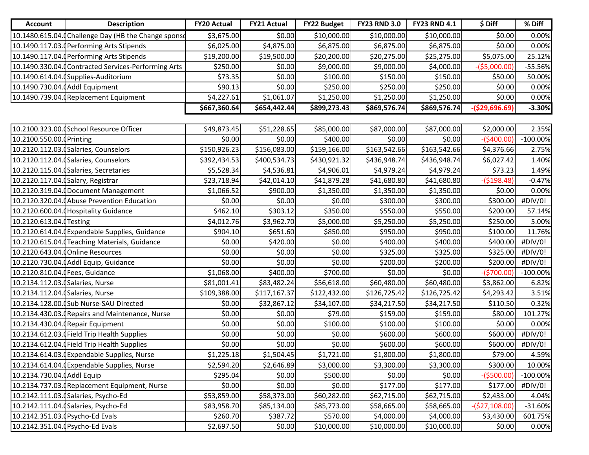| <b>Account</b>                     | <b>Description</b>                                   | <b>FY20 Actual</b> | <b>FY21 Actual</b> | <b>FY22 Budget</b> | <b>FY23 RND 3.0</b> | <b>FY23 RND 4.1</b> | \$ Diff         | % Diff      |
|------------------------------------|------------------------------------------------------|--------------------|--------------------|--------------------|---------------------|---------------------|-----------------|-------------|
|                                    | 10.1480.615.04. Challenge Day (HB the Change sponso  | \$3,675.00         | \$0.00             | \$10,000.00        | \$10,000.00         | \$10,000.00         | \$0.00          | 0.00%       |
|                                    | 10.1490.117.03. (Performing Arts Stipends            | \$6,025.00         | \$4,875.00         | \$6,875.00         | \$6,875.00          | \$6,875.00          | \$0.00          | 0.00%       |
|                                    | 10.1490.117.04. (Performing Arts Stipends            | \$19,200.00        | \$19,500.00        | \$20,200.00        | \$20,275.00         | \$25,275.00         | \$5,075.00      | 25.12%      |
|                                    | 10.1490.330.04. (Contracted Services-Performing Arts | \$250.00           | \$0.00             | \$9,000.00         | \$9,000.00          | \$4,000.00          | $-($5,000.00)$  | $-55.56%$   |
|                                    | 10.1490.614.04.0Supplies-Auditorium                  | \$73.35            | \$0.00             | \$100.00           | \$150.00            | \$150.00            | \$50.00         | 50.00%      |
| 10.1490.730.04. (Addl Equipment    |                                                      | \$90.13            | \$0.00             | \$250.00           | \$250.00            | \$250.00            | \$0.00          | 0.00%       |
|                                    | 10.1490.739.04. Replacement Equipment                | \$4,227.61         | \$1,061.07         | \$1,250.00         | \$1,250.00          | \$1,250.00          | \$0.00          | 0.00%       |
|                                    |                                                      | \$667,360.64       | \$654,442.44       | \$899,273.43       | \$869,576.74        | \$869,576.74        | $-($29,696.69)$ | $-3.30%$    |
|                                    |                                                      |                    |                    |                    |                     |                     |                 |             |
|                                    | 10.2100.323.00.0School Resource Officer              | \$49,873.45        | \$51,228.65        | \$85,000.00        | \$87,000.00         | \$87,000.00         | \$2,000.00      | 2.35%       |
| 10.2100.550.00.0Printing           |                                                      | \$0.00             | \$0.00             | \$400.00           | \$0.00              | \$0.00              | $-($400.00)$    | $-100.00\%$ |
|                                    | 10.2120.112.03. (Salaries, Counselors                | \$150,926.23       | \$156,083.00       | \$159,166.00       | \$163,542.66        | \$163,542.66        | \$4,376.66      | 2.75%       |
|                                    | 10.2120.112.04. (Salaries, Counselors                | \$392,434.53       | \$400,534.73       | \$430,921.32       | \$436,948.74        | \$436,948.74        | \$6,027.42      | 1.40%       |
|                                    | 10.2120.115.04. (Salaries, Secretaries               | \$5,528.34         | \$4,536.81         | \$4,906.01         | \$4,979.24          | \$4,979.24          | \$73.23         | 1.49%       |
| 10.2120.117.04. (Salary, Registrar |                                                      | \$23,718.94        | \$42,014.10        | \$41,879.28        | \$41,680.80         | \$41,680.80         | $-($198.48)$    | $-0.47%$    |
|                                    | 10.2120.319.04. (Document Management                 | \$1,066.52         | \$900.00           | \$1,350.00         | \$1,350.00          | \$1,350.00          | \$0.00          | 0.00%       |
|                                    | 10.2120.320.04. (Abuse Prevention Education          | \$0.00             | \$0.00             | \$0.00             | \$300.00            | \$300.00            | \$300.00        | #DIV/0!     |
|                                    | 10.2120.600.04. (Hospitality Guidance                | \$462.10           | \$303.12           | \$350.00           | \$550.00            | \$550.00            | \$200.00        | 57.14%      |
| 10.2120.613.04. Testing            |                                                      | \$4,012.76         | \$3,962.70         | \$5,000.00         | \$5,250.00          | \$5,250.00          | \$250.00        | 5.00%       |
|                                    | 10.2120.614.04. Expendable Supplies, Guidance        | \$904.10           | \$651.60           | \$850.00           | \$950.00            | \$950.00            | \$100.00        | 11.76%      |
|                                    | 10.2120.615.04. Teaching Materials, Guidance         | \$0.00             | \$420.00           | \$0.00             | \$400.00            | \$400.00            | \$400.00        | #DIV/0!     |
|                                    | 10.2120.643.04. (Online Resources                    | \$0.00             | \$0.00             | \$0.00             | \$325.00            | \$325.00            | \$325.00        | #DIV/0!     |
|                                    | 10.2120.730.04. (Addl Equip, Guidance                | \$0.00             | \$0.00             | \$0.00             | \$200.00            | \$200.00            | \$200.00        | #DIV/0!     |
| 10.2120.810.04. Fees, Guidance     |                                                      | \$1,068.00         | \$400.00]          | \$700.00           | \$0.00              | \$0.00              | $-($700.00)$    | $-100.00\%$ |
| 10.2134.112.03. (Salaries, Nurse   |                                                      | \$81,001.41        | \$83,482.24        | \$56,618.00        | \$60,480.00         | \$60,480.00         | \$3,862.00      | 6.82%       |
| 10.2134.112.04. (Salaries, Nurse   |                                                      | \$109,388.00       | \$117,167.37       | \$122,432.00       | \$126,725.42        | \$126,725.42        | \$4,293.42      | 3.51%       |
|                                    | 10.2134.128.00. (Sub Nurse-SAU Directed              | \$0.00             | \$32,867.12        | \$34,107.00        | \$34,217.50         | \$34,217.50         | \$110.50        | 0.32%       |
|                                    | 10.2134.430.03. (Repairs and Maintenance, Nurse      | \$0.00             | \$0.00             | \$79.00            | \$159.00            | \$159.00            | \$80.00         | 101.27%     |
|                                    | 10.2134.430.04. (Repair Equipment                    | \$0.00             | \$0.00             | \$100.00           | \$100.00            | \$100.00            | \$0.00          | 0.00%       |
|                                    | 10.2134.612.03. Field Trip Health Supplies           | \$0.00             | \$0.00             | \$0.00             | \$600.00            | \$600.00            | \$600.00        | #DIV/0!     |
|                                    | 10.2134.612.04. Field Trip Health Supplies           | \$0.00             | \$0.00             | \$0.00             | \$600.00            | \$600.00            | \$600.00        | #DIV/0!     |
|                                    | 10.2134.614.03. (Expendable Supplies, Nurse          | \$1,225.18         | \$1,504.45         | \$1,721.00         | \$1,800.00          | \$1,800.00          | \$79.00         | 4.59%       |
|                                    | 10.2134.614.04. (Expendable Supplies, Nurse          | \$2,594.20         | \$2,646.89         | \$3,000.00         | \$3,300.00          | \$3,300.00          | \$300.00        | 10.00%      |
| 10.2134.730.04. [Addl Equip        |                                                      | \$295.04           | \$0.00             | \$500.00           | \$0.00              | \$0.00              | $-($500.00)$    | $-100.00\%$ |
|                                    | 10.2134.737.03. Replacement Equipment, Nurse         | \$0.00             | \$0.00             | \$0.00             | \$177.00            | \$177.00            | \$177.00        | #DIV/0!     |
|                                    | 10.2142.111.03. (Salaries, Psycho-Ed                 | \$53,859.00        | \$58,373.00        | \$60,282.00        | \$62,715.00         | \$62,715.00         | \$2,433.00      | 4.04%       |
|                                    | 10.2142.111.04. (Salaries, Psycho-Ed                 | \$83,958.70        | \$85,134.00        | \$85,773.00        | \$58,665.00         | \$58,665.00         | $-($27,108.00)$ | $-31.60%$   |
| 10.2142.351.03. (Psycho-Ed Evals   |                                                      | \$260.70           | \$387.72           | \$570.00           | \$4,000.00          | \$4,000.00          | \$3,430.00      | 601.75%     |
| 10.2142.351.04. (Psycho-Ed Evals   |                                                      | \$2,697.50         | \$0.00             | \$10,000.00        | \$10,000.00         | \$10,000.00         | \$0.00          | 0.00%       |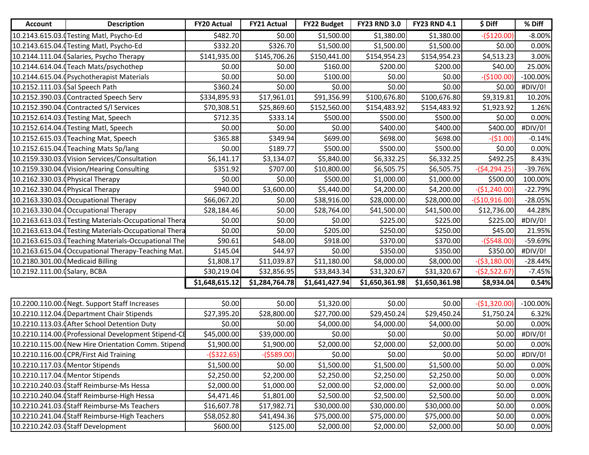| <b>Account</b>                    | <b>Description</b>                                    | <b>FY20 Actual</b> | <b>FY21 Actual</b> | <b>FY22 Budget</b> | <b>FY23 RND 3.0</b> | <b>FY23 RND 4.1</b> | \$ Diff         | % Diff      |
|-----------------------------------|-------------------------------------------------------|--------------------|--------------------|--------------------|---------------------|---------------------|-----------------|-------------|
|                                   | 10.2143.615.03. Testing Matl, Psycho-Ed               | \$482.70           | \$0.00             | \$1,500.00         | \$1,380.00          | \$1,380.00          | $-($120.00)$    | $-8.00%$    |
|                                   | 10.2143.615.04. Testing Matl, Psycho-Ed               | \$332.20           | \$326.70           | \$1,500.00         | \$1,500.00          | \$1,500.00          | \$0.00          | 0.00%       |
|                                   | 10.2144.111.04. (Salaries, Psycho Therapy             | \$141,935.00       | \$145,706.26       | \$150,441.00       | \$154,954.23        | \$154,954.23        | \$4,513.23      | 3.00%       |
|                                   | 10.2144.614.04.0Teach Mats/psychothep                 | \$0.00             | \$0.00             | \$160.00           | \$200.00            | \$200.00            | \$40.00         | 25.00%      |
|                                   | 10.2144.615.04. (Psychotherapist Materials            | \$0.00             | \$0.00             | \$100.00           | \$0.00              | \$0.00              | $-($100.00)$    | $-100.00\%$ |
| 10.2152.111.03. (Sal Speech Path  |                                                       | \$360.24           | \$0.00             | \$0.00             | \$0.00              | \$0.00              | \$0.00          | #DIV/0!     |
|                                   | 10.2152.390.03.0 Contracted Speech Serv               | \$334,895.93       | \$17,961.01        | \$91,356.99        | \$100,676.80        | \$100,676.80        | \$9,319.81      | 10.20%      |
|                                   | 10.2152.390.04. Contracted S/I Services               | \$70,308.51        | \$25,869.60        | \$152,560.00       | \$154,483.92        | \$154,483.92        | \$1,923.92      | 1.26%       |
|                                   | 10.2152.614.03. Testing Mat, Speech                   | \$712.35           | \$333.14           | \$500.00           | \$500.00            | \$500.00            | \$0.00          | 0.00%       |
|                                   | 10.2152.614.04. Testing Matl, Speech                  | \$0.00             | \$0.00             | \$0.00             | \$400.00            | \$400.00            | \$400.00        | #DIV/0!     |
|                                   | 10.2152.615.03. Teaching Mat, Speech                  | \$365.88           | \$349.94           | \$699.00           | \$698.00            | \$698.00            | $-($1.00)$      | $-0.14%$    |
|                                   | 10.2152.615.04. Teaching Mats Sp/lang                 | \$0.00             | \$189.77           | \$500.00           | \$500.00            | \$500.00            | \$0.00          | 0.00%       |
|                                   | 10.2159.330.03. Vision Services/Consultation          | \$6,141.17         | \$3,134.07         | \$5,840.00         | \$6,332.25          | \$6,332.25          | \$492.25        | 8.43%       |
|                                   | 10.2159.330.04. (Vision/Hearing Consulting            | \$351.92           | \$707.00           | \$10,800.00        | \$6,505.75          | \$6,505.75          | $-($4,294.25)$  | $-39.76%$   |
|                                   | 10.2162.330.03.0 Physical Therapy                     | \$0.00             | \$0.00             | \$500.00           | \$1,000.00          | \$1,000.00          | \$500.00        | 100.00%     |
|                                   | 10.2162.330.04. Physical Therapy                      | \$940.00           | \$3,600.00         | \$5,440.00         | \$4,200.00          | \$4,200.00          | $-($1,240.00)$  | $-22.79%$   |
|                                   | 10.2163.330.03. Occupational Therapy                  | \$66,067.20        | \$0.00             | \$38,916.00        | \$28,000.00         | \$28,000.00         | $-($10,916.00)$ | $-28.05%$   |
|                                   | 10.2163.330.04. (Occupational Therapy                 | \$28,184.46        | \$0.00             | \$28,764.00        | \$41,500.00         | \$41,500.00         | \$12,736.00     | 44.28%      |
|                                   | 10.2163.613.03. (Testing Materials-Occupational Thera | \$0.00             | \$0.00             | \$0.00             | \$225.00            | \$225.00            | \$225.00        | #DIV/0!     |
|                                   | 10.2163.613.04. Testing Materials-Occupational Thera  | \$0.00             | \$0.00             | \$205.00           | \$250.00            | \$250.00            | \$45.00         | 21.95%      |
|                                   | 10.2163.615.03. Teaching Materials-Occupational The   | \$90.61            | \$48.00            | \$918.00           | \$370.00            | \$370.00            | $-($548.00)$    | -59.69%     |
|                                   | 10.2163.615.04. Occupational Therapy-Teaching Mat.    | \$145.04           | \$44.97            | \$0.00             | \$350.00            | \$350.00            | \$350.00        | #DIV/0!     |
| 10.2180.301.00. (Medicaid Billing |                                                       | \$1,808.17         | \$11,039.87        | \$11,180.00        | \$8,000.00          | \$8,000.00          | $-($3,180.00)$  | $-28.44%$   |
| 10.2192.111.00. (Salary, BCBA     |                                                       | \$30,219.04        | \$32,856.95        | \$33,843.34        | \$31,320.67         | \$31,320.67         | $-($2,522.67)$  | $-7.45%$    |
|                                   |                                                       | \$1,648,615.12     | \$1,284,764.78     | \$1,641,427.94     | \$1,650,361.98      | \$1,650,361.98      | \$8,934.04      | 0.54%       |
|                                   |                                                       |                    |                    |                    |                     |                     |                 |             |
|                                   | 10.2200.110.00. (Negt. Support Staff Increases        | \$0.00             | \$0.00             | \$1,320.00         | \$0.00              | \$0.00              | $-($1,320.00)$  | $-100.00\%$ |
|                                   | 10.2210.112.04. (Department Chair Stipends            | \$27,395.20        | \$28,800.00        | \$27,700.00        | \$29,450.24         | \$29,450.24         | \$1,750.24      | 6.32%       |
|                                   | 10.2210.113.03. (After School Detention Duty          | \$0.00             | \$0.00             | \$4,000.00         | \$4,000.00          | \$4,000.00          | \$0.00          | 0.00%       |
|                                   | 10.2210.114.00. Professional Development Stipend-CE   | \$45,000.00        | \$39,000.00        | \$0.00             | \$0.00              | \$0.00              | \$0.00          | #DIV/0!     |
|                                   | 10.2210.115.00. (New Hire Orientation Comm. Stipend   | \$1,900.00         | \$1,900.00         | \$2,000.00         | \$2,000.00          | \$2,000.00          | \$0.00          | 0.00%       |
|                                   | 10.2210.116.00.0CPR/First Aid Training                | $-($322.65)$       | $-($589.00)$       | \$0.00             | \$0.00              | \$0.00              | \$0.00          | #DIV/0!     |
|                                   | 10.2210.117.03. (Mentor Stipends                      | \$1,500.00         | \$0.00             | \$1,500.00         | \$1,500.00          | \$1,500.00          | \$0.00          | 0.00%       |
|                                   | 10.2210.117.04. (Mentor Stipends                      | \$2,250.00         | \$2,200.00         | \$2,250.00         | \$2,250.00          | \$2,250.00          | \$0.00          | 0.00%       |
|                                   | 10.2210.240.03.0Staff Reimburse-Ms Hessa              | \$2,000.00         | \$1,000.00         | \$2,000.00         | \$2,000.00          | \$2,000.00          | \$0.00          | 0.00%       |
|                                   | 10.2210.240.04.0Staff Reimburse-High Hessa            | \$4,471.46         | \$1,801.00         | \$2,500.00         | \$2,500.00          | \$2,500.00          | \$0.00          | 0.00%       |
|                                   | 10.2210.241.03. (Staff Reimburse-Ms Teachers          | \$16,607.78        | \$17,982.71        | \$30,000.00        | \$30,000.00         | \$30,000.00         | \$0.00          | 0.00%       |
|                                   | 10.2210.241.04. (Staff Reimburse-High Teachers        | \$58,052.80        | \$41,494.36        | \$75,000.00        | \$75,000.00         | \$75,000.00         | \$0.00          | 0.00%       |
|                                   | 10.2210.242.03. (Staff Development                    | \$600.00           | \$125.00           | \$2,000.00         | \$2,000.00          | \$2,000.00          | \$0.00          | 0.00%       |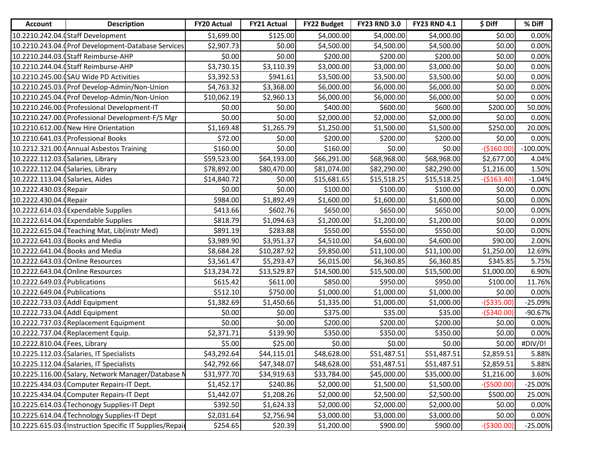| <b>Account</b>                     | <b>Description</b>                                      | <b>FY20 Actual</b> | <b>FY21 Actual</b> | <b>FY22 Budget</b> | <b>FY23 RND 3.0</b> | <b>FY23 RND 4.1</b> | \$ Diff      | % Diff      |
|------------------------------------|---------------------------------------------------------|--------------------|--------------------|--------------------|---------------------|---------------------|--------------|-------------|
|                                    | 10.2210.242.04. (Staff Development                      | \$1,699.00         | \$125.00           | \$4,000.00         | \$4,000.00          | \$4,000.00          | \$0.00       | 0.00%       |
|                                    | 10.2210.243.04. (Prof Development-Database Services     | \$2,907.73         | \$0.00             | \$4,500.00         | \$4,500.00          | \$4,500.00          | \$0.00       | 0.00%       |
|                                    | 10.2210.244.03. (Staff Reimburse-AHP                    | \$0.00             | \$0.00             | \$200.00           | \$200.00            | \$200.00            | \$0.00       | 0.00%       |
|                                    | 10.2210.244.04. (Staff Reimburse-AHP                    | \$3,730.15         | \$3,110.39         | \$3,000.00         | \$3,000.00          | \$3,000.00          | \$0.00       | 0.00%       |
|                                    | 10.2210.245.00.0SAU Wide PD Activities                  | \$3,392.53         | \$941.61           | \$3,500.00         | \$3,500.00          | \$3,500.00          | \$0.00       | 0.00%       |
|                                    | 10.2210.245.03. (Prof Develop-Admin/Non-Union           | \$4,763.32         | \$3,368.00         | \$6,000.00         | \$6,000.00          | \$6,000.00          | \$0.00       | 0.00%       |
|                                    | 10.2210.245.04. (Prof Develop-Admin/Non-Union           | \$10,062.19        | \$2,960.13         | \$6,000.00         | \$6,000.00          | \$6,000.00          | \$0.00       | 0.00%       |
|                                    | 10.2210.246.00.0Professional Development-IT             | \$0.00             | \$0.00             | \$400.00           | \$600.00            | \$600.00            | \$200.00     | 50.00%      |
|                                    | 10.2210.247.00. (Professional Development-F/S Mgr       | \$0.00             | \$0.00             | \$2,000.00         | \$2,000.00          | \$2,000.00          | \$0.00       | 0.00%       |
|                                    | 10.2210.612.00.0New Hire Orientation                    | \$1,169.48         | \$1,265.79         | \$1,250.00         | \$1,500.00          | \$1,500.00          | \$250.00     | 20.00%      |
|                                    | 10.2210.641.03. (Professional Books                     | \$72.00            | \$0.00             | \$200.00           | \$200.00            | \$200.00            | \$0.00       | 0.00%       |
|                                    | 10.2212.321.00. (Annual Asbestos Training               | \$160.00           | \$0.00             | \$160.00           | \$0.00              | \$0.00              | $-($160.00)$ | $-100.00\%$ |
| 10.2222.112.03. (Salaries, Library |                                                         | \$59,523.00        | \$64,193.00        | \$66,291.00        | \$68,968.00         | \$68,968.00         | \$2,677.00   | 4.04%       |
| 10.2222.112.04. (Salaries, Library |                                                         | \$78,892.00        | \$80,470.00        | \$81,074.00        | \$82,290.00         | \$82,290.00         | \$1,216.00   | 1.50%       |
| 10.2222.113.04. (Salaries, Aides   |                                                         | \$14,840.72        | \$0.00             | \$15,681.65        | \$15,518.25         | \$15,518.25         | $-($163.40)$ | $-1.04%$    |
| 10.2222.430.03. (Repair            |                                                         | \$0.00             | \$0.00             | \$100.00           | \$100.00            | \$100.00            | \$0.00       | 0.00%       |
| 10.2222.430.04. (Repair            |                                                         | \$984.00           | \$1,892.49         | \$1,600.00         | \$1,600.00          | \$1,600.00          | \$0.00       | 0.00%       |
|                                    | 10.2222.614.03. Expendable Supplies                     | \$413.66           | \$602.76           | \$650.00           | \$650.00            | \$650.00            | \$0.00       | 0.00%       |
|                                    | 10.2222.614.04. (Expendable Supplies                    | \$818.79           | \$1,094.63         | \$1,200.00         | \$1,200.00          | \$1,200.00          | \$0.00       | 0.00%       |
|                                    | 10.2222.615.04. Teaching Mat, Lib(instr Med)            | \$891.19           | \$283.88           | \$550.00           | \$550.00            | \$550.00            | \$0.00       | 0.00%       |
|                                    | 10.2222.641.03. (Books and Media                        | \$3,989.90         | \$3,951.37         | \$4,510.00         | \$4,600.00          | \$4,600.00          | \$90.00      | 2.00%       |
|                                    | 10.2222.641.04. Books and Media                         | \$8,684.28         | \$10,287.92        | \$9,850.00         | \$11,100.00         | \$11,100.00         | \$1,250.00   | 12.69%      |
|                                    | 10.2222.643.03. (Online Resources                       | \$3,561.47         | \$5,293.47         | \$6,015.00         | \$6,360.85          | \$6,360.85          | \$345.85     | 5.75%       |
|                                    | 10.2222.643.04. (Online Resources                       | \$13,234.72        | \$13,529.87        | \$14,500.00        | \$15,500.00         | \$15,500.00         | \$1,000.00   | 6.90%       |
| 10.2222.649.03.0 Publications      |                                                         | \$615.42           | \$611.00           | \$850.00           | \$950.00            | \$950.00            | \$100.00     | 11.76%      |
| 10.2222.649.04. Publications       |                                                         | \$512.10           | \$750.00           | \$1,000.00         | \$1,000.00          | \$1,000.00          | \$0.00       | 0.00%       |
| 10.2222.733.03. Addl Equipment     |                                                         | \$1,382.69         | \$1,450.66         | \$1,335.00         | \$1,000.00          | \$1,000.00          | $-($335.00)$ | $-25.09%$   |
| 10.2222.733.04. Addl Equipment     |                                                         | \$0.00             | \$0.00             | \$375.00           | \$35.00             | \$35.00             | $-($340.00)$ | -90.67%     |
|                                    | 10.2222.737.03. Replacement Equipment                   | \$0.00             | \$0.00             | \$200.00           | \$200.00            | \$200.00            | \$0.00       | 0.00%       |
|                                    | 10.2222.737.04. (Replacement Equip.                     | \$2,371.71         | \$139.90           | \$350.00           | \$350.00            | \$350.00            | \$0.00       | 0.00%       |
| 10.2222.810.04. (Fees, Library     |                                                         | \$5.00             | \$25.00            | \$0.00             | \$0.00              | \$0.00              | \$0.00       | #DIV/0!     |
|                                    | 10.2225.112.03. (Salaries, IT Specialists               | \$43,292.64        | \$44,115.01        | \$48,628.00        | \$51,487.51         | \$51,487.51         | \$2,859.51   | 5.88%       |
|                                    | 10.2225.112.04. (Salaries, IT Specialists               | \$42,792.66        | \$47,348.07        | \$48,628.00        | \$51,487.51         | \$51,487.51         | \$2,859.51   | 5.88%       |
|                                    | 10.2225.116.00.0Salary, Network Manager/Database N      | \$31,977.70        | \$34,919.63        | \$33,784.00        | \$45,000.00         | \$35,000.00         | \$1,216.00   | 3.60%       |
|                                    | 10.2225.434.03.0 Computer Repairs-IT Dept.              | \$1,452.17         | \$240.86           | \$2,000.00         | \$1,500.00          | \$1,500.00          | -(\$500.00)  | $-25.00%$   |
|                                    | 10.2225.434.04. Computer Repairs-IT Dept                | \$1,442.07         | \$1,208.26         | \$2,000.00         | \$2,500.00          | \$2,500.00          | \$500.00     | 25.00%      |
|                                    | 10.2225.614.03. Techonogy Supplies-IT Dept              | \$392.50           | \$1,624.33         | \$2,000.00         | \$2,000.00          | \$2,000.00          | \$0.00       | 0.00%       |
|                                    | 10.2225.614.04.0Technology Supplies-IT Dept             | \$2,031.64         | \$2,756.94         | \$3,000.00         | \$3,000.00          | \$3,000.00          | \$0.00       | 0.00%       |
|                                    | 10.2225.615.03.0Instruction Specific IT Supplies/Repair | \$254.65           | \$20.39            | \$1,200.00         | \$900.00            | \$900.00            | $-($300.00)$ | $-25.00%$   |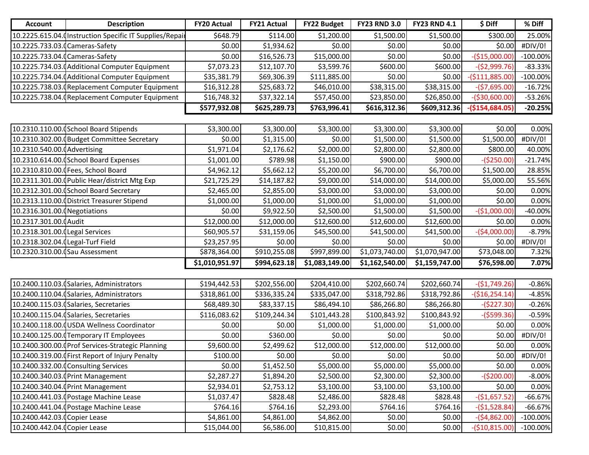| <b>Account</b>                   | <b>Description</b>                                       | <b>FY20 Actual</b> | <b>FY21 Actual</b> | <b>FY22 Budget</b> | <b>FY23 RND 3.0</b> | <b>FY23 RND 4.1</b> | \$ Diff          | % Diff      |
|----------------------------------|----------------------------------------------------------|--------------------|--------------------|--------------------|---------------------|---------------------|------------------|-------------|
|                                  | 10.2225.615.04. (Instruction Specific IT Supplies/Repair | \$648.79           | \$114.00           | \$1,200.00         | \$1,500.00          | \$1,500.00          | \$300.00         | 25.00%      |
| 10.2225.733.03.0 Cameras-Safety  |                                                          | \$0.00             | \$1,934.62         | \$0.00             | \$0.00              | \$0.00              | \$0.00           | #DIV/0!     |
| 10.2225.733.04.0Cameras-Safety   |                                                          | \$0.00             | \$16,526.73        | \$15,000.00        | \$0.00              | \$0.00              | $-($15,000.00]$  | $-100.00\%$ |
|                                  | 10.2225.734.03. (Additional Computer Equipment           | \$7,073.23         | \$12,107.70        | \$3,599.76         | \$600.00            | \$600.00            | $-($2,999.76)$   | $-83.33%$   |
|                                  | 10.2225.734.04.0 Additional Computer Equipment           | \$35,381.79        | \$69,306.39        | \$111,885.00       | \$0.00              | \$0.00              | $-($111,885.00)$ | $-100.00\%$ |
|                                  | 10.2225.738.03. Replacement Computer Equipment           | \$16,312.28        | \$25,683.72        | \$46,010.00        | \$38,315.00         | \$38,315.00         | $-($7,695.00)$   | $-16.72%$   |
|                                  | 10.2225.738.04. (Replacement Computer Equipment          | \$16,748.32        | \$37,322.14        | \$57,450.00        | \$23,850.00         | \$26,850.00         | $-($30,600.00)$  | $-53.26%$   |
|                                  |                                                          | \$577,932.08       | \$625,289.73       | \$763,996.41       | \$616,312.36        | \$609,312.36        | $-($154,684.05)$ | $-20.25%$   |
|                                  |                                                          |                    |                    |                    |                     |                     |                  |             |
|                                  | 10.2310.110.00.0School Board Stipends                    | \$3,300.00         | \$3,300.00         | \$3,300.00         | \$3,300.00          | \$3,300.00          | \$0.00           | 0.00%       |
|                                  | 10.2310.302.00. Budget Committee Secretary               | \$0.00             | \$1,315.00         | \$0.00             | \$1,500.00          | \$1,500.00          | \$1,500.00       | #DIV/0!     |
| 10.2310.540.00. (Advertising     |                                                          | \$1,971.04         | \$2,176.62         | \$2,000.00         | \$2,800.00          | \$2,800.00          | \$800.00         | 40.00%      |
|                                  | 10.2310.614.00. (School Board Expenses                   | \$1,001.00         | \$789.98           | \$1,150.00         | \$900.00            | \$900.00            | $-($250.00)$     | $-21.74%$   |
|                                  | 10.2310.810.00.0 Fees, School Board                      | \$4,962.12         | \$5,662.12         | \$5,200.00         | \$6,700.00          | \$6,700.00          | \$1,500.00       | 28.85%      |
|                                  | 10.2311.301.00. Public Hear/district Mtg Exp             | \$21,725.29        | \$14,187.82        | \$9,000.00         | \$14,000.00         | \$14,000.00         | \$5,000.00       | 55.56%      |
|                                  | 10.2312.301.00. School Board Secretary                   | \$2,465.00         | \$2,855.00         | \$3,000.00         | \$3,000.00          | \$3,000.00          | \$0.00           | 0.00%       |
|                                  | 10.2313.110.00. District Treasurer Stipend               | \$1,000.00         | \$1,000.00         | \$1,000.00         | \$1,000.00          | \$1,000.00          | \$0.00           | 0.00%       |
| 10.2316.301.00.0 Negotiations    |                                                          | \$0.00             | \$9,922.50         | \$2,500.00         | \$1,500.00          | \$1,500.00          | $-($1,000.00)$   | $-40.00%$   |
| 10.2317.301.00. Audit            |                                                          | \$12,000.00        | \$12,000.00        | \$12,600.00        | \$12,600.00         | \$12,600.00         | \$0.00           | 0.00%       |
| 10.2318.301.00. Legal Services   |                                                          | \$60,905.57        | \$31,159.06        | \$45,500.00        | \$41,500.00         | \$41,500.00         | $-($4,000.00)$   | $-8.79%$    |
| 10.2318.302.04.0Legal-Turf Field |                                                          | \$23,257.95        | \$0.00             | \$0.00             | \$0.00              | \$0.00              | \$0.00           | #DIV/0!     |
| 10.2320.310.00. (Sau Assessment  |                                                          | \$878,364.00       | \$910,255.08       | \$997,899.00       | \$1,073,740.00      | \$1,070,947.00      | \$73,048.00      | 7.32%       |
|                                  |                                                          | \$1,010,951.97     | \$994,623.18       | \$1,083,149.00     | \$1,162,540.00      | \$1,159,747.00      | \$76,598.00      | 7.07%       |
|                                  |                                                          |                    |                    |                    |                     |                     |                  |             |
|                                  | 10.2400.110.03. (Salaries, Administrators                | \$194,442.53       | \$202,556.00       | \$204,410.00       | \$202,660.74        | \$202,660.74        | $-($1,749.26)$   | $-0.86%$    |
|                                  | 10.2400.110.04. (Salaries, Administrators                | \$318,861.00       | \$336,335.24       | \$335,047.00       | \$318,792.86        | \$318,792.86        | $-($16,254.14)$  | $-4.85%$    |
|                                  | 10.2400.115.03. (Salaries, Secretaries                   | \$68,489.30        | \$83,337.15        | \$86,494.10        | \$86,266.80         | \$86,266.80         | $-($227.30)$     | $-0.26%$    |
|                                  | 10.2400.115.04. (Salaries, Secretaries                   | \$116,083.62       | \$109,244.34       | \$101,443.28       | \$100,843.92        | \$100,843.92        | $-($599.36)$     | $-0.59%$    |
|                                  | 10.2400.118.00. USDA Wellness Coordinator                | \$0.00             | \$0.00             | \$1,000.00         | \$1,000.00          | \$1,000.00          | \$0.00           | 0.00%       |
|                                  | 10.2400.125.00. Temporary IT Employees                   | \$0.00             | \$360.00           | \$0.00             | \$0.00              | \$0.00              | \$0.00           | #DIV/0!     |
|                                  | 10.2400.300.00.0Prof Services-Strategic Planning         | \$9,600.00         | \$2,499.62         | \$12,000.00        | \$12,000.00         | \$12,000.00         | \$0.00           | 0.00%       |
|                                  | 10.2400.319.00. First Report of Injury Penalty           | \$100.00           | \$0.00             | \$0.00             | \$0.00              | \$0.00              | \$0.00           | #DIV/0!     |
|                                  | 10.2400.332.00. Consulting Services                      | \$0.00             | \$1,452.50         | \$5,000.00         | \$5,000.00          | \$5,000.00          | \$0.00           | 0.00%       |
|                                  | 10.2400.340.03.0 Print Management                        | \$2,287.27         | \$1,894.20         | \$2,500.00         | \$2,300.00          | \$2,300.00          | $-($200.00)$     | $-8.00%$    |
|                                  | 10.2400.340.04.0 Print Management                        | \$2,934.01         | \$2,753.12         | \$3,100.00         | \$3,100.00          | \$3,100.00          | \$0.00           | 0.00%       |
|                                  | 10.2400.441.03. Postage Machine Lease                    | \$1,037.47         | \$828.48           | \$2,486.00         | \$828.48            | \$828.48            | $-($1,657.52)$   | $-66.67%$   |
|                                  | 10.2400.441.04. (Postage Machine Lease                   | \$764.16           | \$764.16           | \$2,293.00         | \$764.16            | \$764.16            | $-($1,528.84)$   | $-66.67%$   |
| 10.2400.442.03.0Copier Lease     |                                                          | \$4,861.00         | \$4,861.00         | \$4,862.00         | \$0.00              | \$0.00              | $-($4,862.00)$   | $-100.00\%$ |
| 10.2400.442.04.0Copier Lease     |                                                          | \$15,044.00        | \$6,586.00         | \$10,815.00        | \$0.00              | \$0.00              | $-($10,815.00)$  | $-100.00\%$ |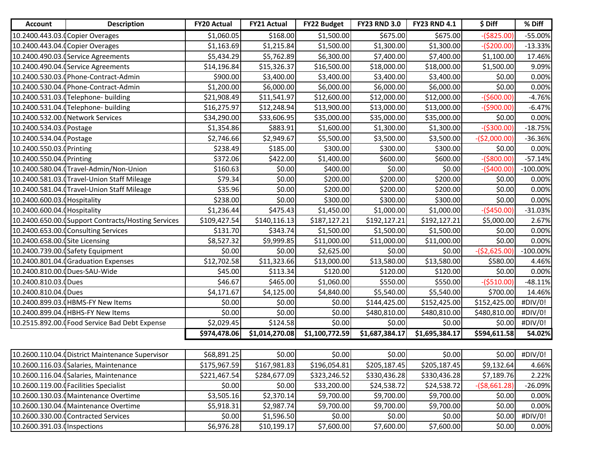| <b>Account</b>                  | <b>Description</b>                                 | <b>FY20 Actual</b> | <b>FY21 Actual</b> | <b>FY22 Budget</b> | <b>FY23 RND 3.0</b> | <b>FY23 RND 4.1</b> | \$ Diff        | % Diff      |
|---------------------------------|----------------------------------------------------|--------------------|--------------------|--------------------|---------------------|---------------------|----------------|-------------|
|                                 | 10.2400.443.03.0Copier Overages                    | \$1,060.05         | \$168.00           | \$1,500.00         | \$675.00            | \$675.00            | $-($825.00)$   | $-55.00%$   |
|                                 | 10.2400.443.04. Copier Overages                    | \$1,163.69         | \$1,215.84         | \$1,500.00         | \$1,300.00          | \$1,300.00          | $-($200.00)$   | $-13.33%$   |
|                                 | 10.2400.490.03. (Service Agreements                | \$5,434.29         | \$5,762.89         | \$6,300.00         | \$7,400.00          | \$7,400.00          | \$1,100.00     | 17.46%      |
|                                 | 10.2400.490.04. (Service Agreements                | \$14,196.84        | \$15,326.37        | \$16,500.00        | \$18,000.00         | \$18,000.00         | \$1,500.00     | 9.09%       |
|                                 | 10.2400.530.03. (Phone-Contract-Admin              | \$900.00           | \$3,400.00         | \$3,400.00         | \$3,400.00          | \$3,400.00          | \$0.00         | 0.00%       |
|                                 | 10.2400.530.04. Phone-Contract-Admin               | \$1,200.00         | \$6,000.00         | \$6,000.00         | \$6,000.00          | \$6,000.00          | \$0.00         | 0.00%       |
|                                 | 10.2400.531.03.0Telephone- building                | \$21,908.49        | \$11,541.97        | \$12,600.00        | \$12,000.00         | \$12,000.00         | $-($600.00)$   | $-4.76%$    |
|                                 | 10.2400.531.04. (Telephone- building               | \$16,275.97        | \$12,248.94        | \$13,900.00        | \$13,000.00         | \$13,000.00         | $-($900.00)$   | $-6.47%$    |
|                                 | 10.2400.532.00.0 Network Services                  | \$34,290.00        | \$33,606.95        | \$35,000.00        | \$35,000.00         | \$35,000.00         | \$0.00         | 0.00%       |
| 10.2400.534.03.0Postage         |                                                    | \$1,354.86         | \$883.91           | \$1,600.00         | \$1,300.00          | \$1,300.00          | $-($300.00)$   | $-18.75%$   |
| 10.2400.534.04.0Postage         |                                                    | \$2,746.66         | \$2,949.67         | \$5,500.00         | \$3,500.00          | \$3,500.00          | $-($2,000.00)$ | $-36.36%$   |
| 10.2400.550.03.0Printing        |                                                    | \$238.49           | \$185.00           | \$300.00           | \$300.00            | \$300.00            | \$0.00         | 0.00%       |
| 10.2400.550.04.0Printing        |                                                    | \$372.06           | \$422.00           | \$1,400.00         | \$600.00            | \$600.00            | $-($800.00)$   | $-57.14%$   |
|                                 | 10.2400.580.04.0Travel-Admin/Non-Union             | \$160.63           | \$0.00             | \$400.00           | \$0.00              | \$0.00              | $-($400.00)$   | $-100.00\%$ |
|                                 | 10.2400.581.03.0Travel-Union Staff Mileage         | \$79.34            | \$0.00             | \$200.00           | \$200.00            | \$200.00            | \$0.00         | 0.00%       |
|                                 | 10.2400.581.04. Travel-Union Staff Mileage         | \$35.96            | \$0.00             | \$200.00           | \$200.00            | \$200.00            | \$0.00         | 0.00%       |
| 10.2400.600.03. (Hospitality    |                                                    | \$238.00           | \$0.00             | \$300.00           | \$300.00            | \$300.00            | \$0.00         | 0.00%       |
| 10.2400.600.04. (Hospitality    |                                                    | \$1,236.44         | \$475.43           | \$1,450.00         | \$1,000.00          | \$1,000.00          | $-($450.00)$   | $-31.03%$   |
|                                 | 10.2400.650.00. Support Contracts/Hosting Services | \$109,427.54       | \$140,116.13       | \$187,127.21       | \$192,127.21        | \$192,127.21        | \$5,000.00     | 2.67%       |
|                                 | 10.2400.653.00.0Consulting Services                | \$131.70           | \$343.74           | \$1,500.00         | \$1,500.00          | \$1,500.00          | \$0.00         | 0.00%       |
| 10.2400.658.00. (Site Licensing |                                                    | \$8,527.32         | \$9,999.85         | \$11,000.00        | \$11,000.00         | \$11,000.00         | \$0.00         | 0.00%       |
|                                 | 10.2400.739.00. (Safety Equipment                  | \$0.00             | \$0.00             | \$2,625.00         | \$0.00              | \$0.00              | $-($2,625.00)$ | $-100.00\%$ |
|                                 | 10.2400.801.04. Graduation Expenses                | \$12,702.58        | \$11,323.66        | \$13,000.00        | \$13,580.00         | \$13,580.00         | \$580.00       | 4.46%       |
| 10.2400.810.00.0Dues-SAU-Wide   |                                                    | \$45.00            | \$113.34           | \$120.00           | \$120.00            | \$120.00            | \$0.00         | 0.00%       |
| 10.2400.810.03.0Dues            |                                                    | \$46.67            | \$465.00           | \$1,060.00         | \$550.00            | \$550.00            | $-($510.00)$   | $-48.11%$   |
| 10.2400.810.04.0Dues            |                                                    | \$4,171.67         | \$4,125.00         | \$4,840.00         | \$5,540.00          | \$5,540.00          | \$700.00       | 14.46%      |
|                                 | 10.2400.899.03. (HBMS-FY New Items                 | \$0.00             | \$0.00             | \$0.00             | \$144,425.00        | \$152,425.00        | \$152,425.00   | #DIV/0!     |
|                                 | 10.2400.899.04.0HBHS-FY New Items                  | \$0.00             | \$0.00             | \$0.00             | \$480,810.00        | \$480,810.00        | \$480,810.00   | #DIV/0!     |
|                                 | 10.2515.892.00. Food Service Bad Debt Expense      | \$2,029.45         | \$124.58           | \$0.00             | \$0.00              | \$0.00              | \$0.00         | #DIV/0!     |
|                                 |                                                    | \$974,478.06       | \$1,014,270.08     | \$1,100,772.59     | \$1,687,384.17      | \$1,695,384.17      | \$594,611.58   | 54.02%      |
|                                 |                                                    |                    |                    |                    |                     |                     |                |             |
|                                 | 10.2600.110.04. District Maintenance Supervisor    | \$68,891.25        | \$0.00             | \$0.00             | \$0.00              | \$0.00              | \$0.00         | #DIV/0!     |
|                                 | 10.2600.116.03. (Salaries, Maintenance             | \$175,967.59       | \$167,981.83       | \$196,054.81       | \$205,187.45        | \$205,187.45        | \$9,132.64     | 4.66%       |
|                                 | 10.2600.116.04. (Salaries, Maintenance             | \$221,467.54       | \$284,677.09       | \$323,246.52       | \$330,436.28        | \$330,436.28        | \$7,189.76     | 2.22%       |
|                                 | 10.2600.119.00.0Facilities Specialist              | \$0.00             | \$0.00             | \$33,200.00        | \$24,538.72         | \$24,538.72         | $-($8,661.28)$ | $-26.09%$   |
|                                 | 10.2600.130.03. (Maintenance Overtime              | \$3,505.16         | \$2,370.14         | \$9,700.00         | \$9,700.00          | \$9,700.00          | \$0.00         | 0.00%       |
|                                 | 10.2600.130.04. (Maintenance Overtime              | \$5,918.31         | \$2,987.74         | \$9,700.00         | \$9,700.00          | \$9,700.00          | \$0.00         | 0.00%       |
|                                 | 10.2600.330.00.0Contracted Services                | \$0.00             | \$1,596.50         | \$0.00             | \$0.00              | \$0.00              | \$0.00         | #DIV/0!     |
| 10.2600.391.03.0 Inspections    |                                                    | \$6,976.28         | \$10,199.17        | \$7,600.00         | \$7,600.00          | \$7,600.00          | \$0.00         | 0.00%       |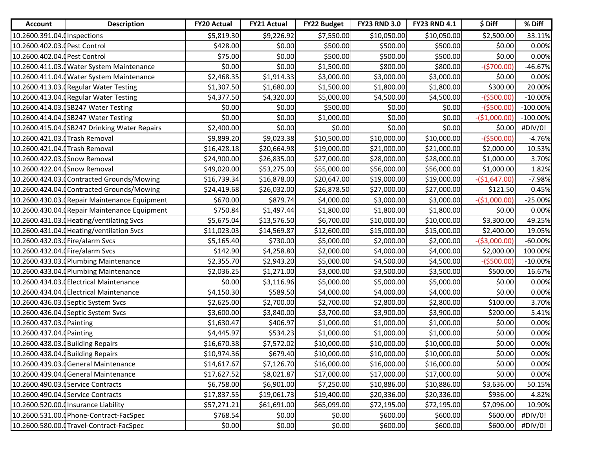| <b>Account</b>                    | <b>Description</b>                            | <b>FY20 Actual</b> | <b>FY21 Actual</b> | <b>FY22 Budget</b> | <b>FY23 RND 3.0</b> | <b>FY23 RND 4.1</b> | \$ Diff        | % Diff      |
|-----------------------------------|-----------------------------------------------|--------------------|--------------------|--------------------|---------------------|---------------------|----------------|-------------|
| 10.2600.391.04.0 Inspections      |                                               | \$5,819.30         | \$9,226.92         | \$7,550.00         | \$10,050.00         | \$10,050.00         | \$2,500.00     | 33.11%      |
| 10.2600.402.03. Pest Control      |                                               | \$428.00           | \$0.00             | \$500.00           | \$500.00            | \$500.00            | \$0.00         | 0.00%       |
| 10.2600.402.04. Pest Control      |                                               | \$75.00            | \$0.00             | \$500.00           | \$500.00            | \$500.00            | \$0.00         | 0.00%       |
|                                   | 10.2600.411.03. (Water System Maintenance     | \$0.00             | \$0.00             | \$1,500.00         | \$800.00            | \$800.00            | $-($700.00)$   | $-46.67%$   |
|                                   | 10.2600.411.04.0 Water System Maintenance     | \$2,468.35         | \$1,914.33         | \$3,000.00         | \$3,000.00          | \$3,000.00          | \$0.00         | 0.00%       |
|                                   | 10.2600.413.03. Regular Water Testing         | \$1,307.50         | \$1,680.00         | \$1,500.00         | \$1,800.00          | \$1,800.00          | \$300.00       | 20.00%      |
|                                   | 10.2600.413.04. (Regular Water Testing        | \$4,377.50         | \$4,320.00         | \$5,000.00         | \$4,500.00          | \$4,500.00          | $-($500.00)$   | $-10.00%$   |
|                                   | 10.2600.414.03. SB247 Water Testing           | \$0.00             | \$0.00             | \$500.00           | \$0.00              | \$0.00              | $-($500.00)$   | $-100.00\%$ |
|                                   | 10.2600.414.04. (SB247 Water Testing          | \$0.00             | \$0.00             | \$1,000.00         | \$0.00              | \$0.00              | $-($1,000.00)$ | $-100.00\%$ |
|                                   | 10.2600.415.04.0SB247 Drinking Water Repairs  | \$2,400.00         | \$0.00             | \$0.00             | \$0.00              | \$0.00              | \$0.00         | #DIV/0!     |
| 10.2600.421.03. Trash Removal     |                                               | \$9,899.20         | \$9,023.38         | \$10,500.00        | \$10,000.00         | \$10,000.00         | $-($500.00)$   | $-4.76%$    |
| 10.2600.421.04. Trash Removal     |                                               | \$16,428.18        | \$20,664.98        | \$19,000.00        | \$21,000.00         | \$21,000.00         | \$2,000.00     | 10.53%      |
| 10.2600.422.03. (Snow Removal     |                                               | \$24,900.00        | \$26,835.00        | \$27,000.00        | \$28,000.00         | \$28,000.00         | \$1,000.00     | 3.70%       |
| 10.2600.422.04. (Snow Removal     |                                               | \$49,020.00        | \$53,275.00        | \$55,000.00        | \$56,000.00         | \$56,000.00         | \$1,000.00     | 1.82%       |
|                                   | 10.2600.424.03.0 Contracted Grounds/Mowing    | \$16,739.34        | \$16,878.00        | \$20,647.00        | \$19,000.00         | \$19,000.00         | $-($1,647.00)$ | $-7.98%$    |
|                                   | 10.2600.424.04.0Contracted Grounds/Mowing     | \$24,419.68        | \$26,032.00        | \$26,878.50        | \$27,000.00         | \$27,000.00         | \$121.50       | 0.45%       |
|                                   | 10.2600.430.03. (Repair Maintenance Equipment | \$670.00           | \$879.74           | \$4,000.00         | \$3,000.00          | \$3,000.00          | $-($1,000.00)$ | $-25.00%$   |
|                                   | 10.2600.430.04. (Repair Maintenance Equipment | \$750.84           | \$1,497.44         | \$1,800.00         | \$1,800.00          | \$1,800.00          | \$0.00         | 0.00%       |
|                                   | 10.2600.431.03. Heating/ventilating Svcs      | \$5,675.04         | \$13,576.50        | \$6,700.00         | \$10,000.00         | \$10,000.00         | \$3,300.00     | 49.25%      |
|                                   | 10.2600.431.04. (Heating/ventilation Svcs     | \$11,023.03        | \$14,569.87        | \$12,600.00        | \$15,000.00         | \$15,000.00         | \$2,400.00     | 19.05%      |
| 10.2600.432.03.0 Fire/alarm Svcs  |                                               | \$5,165.40         | \$730.00           | \$5,000.00         | \$2,000.00          | \$2,000.00          | $-($3,000.00)$ | $-60.00%$   |
| 10.2600.432.04.0Fire/alarm Svcs   |                                               | \$142.90           | \$4,258.80         | \$2,000.00         | \$4,000.00          | \$4,000.00          | \$2,000.00     | 100.00%     |
|                                   | 10.2600.433.03. Plumbing Maintenance          | \$2,355.70         | \$2,943.20         | \$5,000.00         | \$4,500.00          | \$4,500.00          | $-($500.00)$   | $-10.00%$   |
|                                   | 10.2600.433.04.0 Plumbing Maintenance         | \$2,036.25         | \$1,271.00         | \$3,000.00         | \$3,500.00          | \$3,500.00          | \$500.00       | 16.67%      |
|                                   | 10.2600.434.03. Electrical Maintenance        | \$0.00             | \$3,116.96         | \$5,000.00         | \$5,000.00          | \$5,000.00          | \$0.00         | 0.00%       |
|                                   | 10.2600.434.04. Electrical Maintenance        | \$4,150.30         | \$589.50           | \$4,000.00         | \$4,000.00          | \$4,000.00          | \$0.00         | 0.00%       |
|                                   | 10.2600.436.03.0 Septic System Svcs           | \$2,625.00         | \$2,700.00         | \$2,700.00         | \$2,800.00          | \$2,800.00          | \$100.00       | 3.70%       |
|                                   | 10.2600.436.04. (Septic System Svcs           | \$3,600.00         | \$3,840.00         | \$3,700.00         | \$3,900.00          | \$3,900.00          | \$200.00       | 5.41%       |
| 10.2600.437.03. (Painting         |                                               | \$1,630.47         | \$406.97           | \$1,000.00         | \$1,000.00          | \$1,000.00          | \$0.00         | 0.00%       |
| 10.2600.437.04. (Painting         |                                               | \$4,445.97         | \$534.23           | \$1,000.00         | \$1,000.00          | \$1,000.00          | \$0.00         | 0.00%       |
| 10.2600.438.03. Building Repairs  |                                               | \$16,670.38        | \$7,572.02         | \$10,000.00        | \$10,000.00         | \$10,000.00         | \$0.00         | 0.00%       |
| 10.2600.438.04. (Building Repairs |                                               | \$10,974.36        | \$679.40           | \$10,000.00        | \$10,000.00         | \$10,000.00         | \$0.00         | 0.00%       |
|                                   | 10.2600.439.03.0General Maintenance           | \$14,617.67        | \$7,126.70         | \$16,000.00        | \$16,000.00         | \$16,000.00         | \$0.00         | 0.00%       |
|                                   | 10.2600.439.04. General Maintenance           | \$17,627.52        | \$8,021.87         | \$17,000.00        | \$17,000.00         | \$17,000.00         | \$0.00         | 0.00%       |
|                                   | 10.2600.490.03. (Service Contracts            | \$6,758.00         | \$6,901.00         | \$7,250.00         | \$10,886.00         | \$10,886.00         | \$3,636.00     | 50.15%      |
|                                   | 10.2600.490.04. (Service Contracts            | \$17,837.55        | \$19,061.73        | \$19,400.00        | \$20,336.00         | \$20,336.00         | \$936.00       | 4.82%       |
|                                   | 10.2600.520.00.0 Insurance Liability          | \$57,271.21        | \$61,691.00        | \$65,099.00        | \$72,195.00         | \$72,195.00         | \$7,096.00     | 10.90%      |
|                                   | 10.2600.531.00.0Phone-Contract-FacSpec        | \$768.54           | \$0.00             | \$0.00             | \$600.00            | \$600.00            | \$600.00       | #DIV/0!     |
|                                   | 10.2600.580.00. Travel-Contract-FacSpec       | \$0.00             | \$0.00             | \$0.00             | \$600.00            | \$600.00            | \$600.00]      | #DIV/0!     |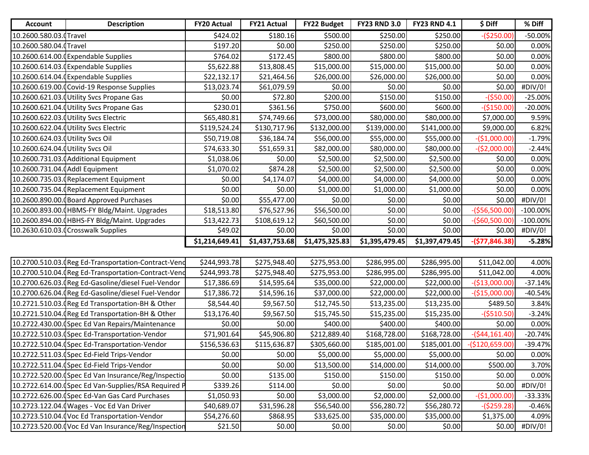| <b>Account</b>                   | <b>Description</b>                                   | <b>FY20 Actual</b> | <b>FY21 Actual</b> | <b>FY22 Budget</b> | <b>FY23 RND 3.0</b> | <b>FY23 RND 4.1</b> | \$ Diff          | % Diff      |
|----------------------------------|------------------------------------------------------|--------------------|--------------------|--------------------|---------------------|---------------------|------------------|-------------|
| 10.2600.580.03.0Travel           |                                                      | \$424.02           | \$180.16           | \$500.00           | \$250.00            | \$250.00            | $-($250.00)$     | $-50.00%$   |
| 10.2600.580.04.0Travel           |                                                      | \$197.20           | \$0.00             | \$250.00           | \$250.00            | \$250.00            | \$0.00           | 0.00%       |
|                                  | 10.2600.614.00.0Expendable Supplies                  | \$764.02           | \$172.45           | \$800.00           | \$800.00            | \$800.00            | \$0.00           | 0.00%       |
|                                  | 10.2600.614.03.0Expendable Supplies                  | \$5,622.88         | \$13,808.45        | \$15,000.00        | \$15,000.00         | \$15,000.00         | \$0.00           | 0.00%       |
|                                  | 10.2600.614.04. (Expendable Supplies                 | \$22,132.17        | \$21,464.56        | \$26,000.00        | \$26,000.00         | \$26,000.00         | \$0.00           | 0.00%       |
|                                  | 10.2600.619.00.0 Covid-19 Response Supplies          | \$13,023.74        | \$61,079.59        | \$0.00             | \$0.00              | \$0.00              | \$0.00           | #DIV/0!     |
|                                  | 10.2600.621.03. Utility Svcs Propane Gas             | \$0.00             | \$72.80            | \$200.00           | \$150.00            | \$150.00            | $-($50.00)$      | $-25.00%$   |
|                                  | 10.2600.621.04. Utility Svcs Propane Gas             | \$230.01           | \$361.56           | \$750.00           | \$600.00            | \$600.00            | $-($150.00)$     | $-20.00%$   |
|                                  | 10.2600.622.03.0Utility Svcs Electric                | \$65,480.81        | \$74,749.66        | \$73,000.00        | \$80,000.00         | \$80,000.00         | \$7,000.00       | 9.59%       |
|                                  | 10.2600.622.04.0Utility Svcs Electric                | \$119,524.24       | \$130,717.96       | \$132,000.00       | \$139,000.00        | \$141,000.00        | \$9,000.00       | 6.82%       |
| 10.2600.624.03.0Utility Svcs Oil |                                                      | \$50,719.08        | \$36,184.74        | \$56,000.00        | \$55,000.00         | \$55,000.00         | $-($1,000.00)$   | $-1.79%$    |
| 10.2600.624.04.0Utility Svcs Oil |                                                      | \$74,633.30        | \$51,659.31        | \$82,000.00        | \$80,000.00         | \$80,000.00         | $-($2,000.00)$   | $-2.44%$    |
|                                  | 10.2600.731.03.0 Additional Equipment                | \$1,038.06         | \$0.00             | \$2,500.00         | \$2,500.00          | \$2,500.00          | \$0.00           | 0.00%       |
| 10.2600.731.04. (Addl Equipment  |                                                      | \$1,070.02         | \$874.28           | \$2,500.00         | \$2,500.00          | \$2,500.00          | \$0.00           | 0.00%       |
|                                  | 10.2600.735.03. Replacement Equipment                | \$0.00             | \$4,174.07         | \$4,000.00         | \$4,000.00          | \$4,000.00          | \$0.00           | 0.00%       |
|                                  | 10.2600.735.04. Replacement Equipment                | \$0.00             | \$0.00             | \$1,000.00         | \$1,000.00          | \$1,000.00          | \$0.00           | 0.00%       |
|                                  | 10.2600.890.00.0Board Approved Purchases             | \$0.00             | \$55,477.00        | \$0.00             | \$0.00              | \$0.00              | \$0.00           | #DIV/0!     |
|                                  | 10.2600.893.00.0HBMS-FY Bldg/Maint. Upgrades         | \$18,513.80        | \$76,527.96        | \$56,500.00        | \$0.00              | \$0.00              | $-($56,500.00)$  | $-100.00\%$ |
|                                  | 10.2600.894.00.0HBHS-FY Bldg/Maint. Upgrades         | \$13,422.73        | \$108,619.12       | \$60,500.00        | \$0.00              | \$0.00              | $-($60,500.00)$  | $-100.00\%$ |
|                                  | 10.2630.610.03.0Crosswalk Supplies                   | \$49.02            | \$0.00             | \$0.00             | \$0.00              | \$0.00              | \$0.00           | #DIV/0!     |
|                                  |                                                      | \$1,214,649.41     | \$1,437,753.68     | \$1,475,325.83     | \$1,395,479.45      | \$1,397,479.45      | $-($77,846.38)$  | $-5.28%$    |
|                                  |                                                      |                    |                    |                    |                     |                     |                  |             |
|                                  | 10.2700.510.03. Reg Ed-Transportation-Contract-Vend  | \$244,993.78       | \$275,948.40       | \$275,953.00       | \$286,995.00        | \$286,995.00        | \$11,042.00      | 4.00%       |
|                                  | 10.2700.510.04. (Reg Ed-Transportation-Contract-Vend | \$244,993.78       | \$275,948.40       | \$275,953.00       | \$286,995.00        | \$286,995.00        | \$11,042.00      | 4.00%       |
|                                  | 10.2700.626.03. (Reg Ed-Gasoline/diesel Fuel-Vendor  | \$17,386.69        | \$14,595.64        | \$35,000.00        | \$22,000.00         | \$22,000.00         | $-($13,000.00)$  | $-37.14%$   |
|                                  | 10.2700.626.04. (Reg Ed-Gasoline/diesel Fuel-Vendor  | \$17,386.72        | \$14,596.16        | \$37,000.00        | \$22,000.00         | \$22,000.00         | $-($15,000.00)$  | $-40.54%$   |
|                                  | 10.2721.510.03. (Reg Ed Transportation-BH & Other    | \$8,544.40         | \$9,567.50         | \$12,745.50        | \$13,235.00         | \$13,235.00         | \$489.50         | 3.84%       |
|                                  | 10.2721.510.04. (Reg Ed Transportation-BH & Other    | \$13,176.40        | \$9,567.50         | \$15,745.50        | \$15,235.00         | \$15,235.00         | $-($510.50)$     | $-3.24%$    |
|                                  | 10.2722.430.00. (Spec Ed Van Repairs/Maintenance     | \$0.00             | \$0.00             | \$400.00           | \$400.00            | \$400.00            | \$0.00           | 0.00%       |
|                                  | 10.2722.510.03.0Spec Ed-Transportation-Vendor        | \$71,901.64        | \$45,906.80        | \$212,889.40       | \$168,728.00        | \$168,728.00        | $-($44,161.40)$  | $-20.74%$   |
|                                  | 10.2722.510.04. (Spec Ed-Transportation-Vendor       | \$156,536.63       | \$115,636.87       | \$305,660.00       | \$185,001.00        | \$185,001.00        | $-($120,659.00)$ | $-39.47%$   |
|                                  | 10.2722.511.03. (Spec Ed-Field Trips-Vendor          | \$0.00             | \$0.00             | \$5,000.00         | \$5,000.00          | \$5,000.00          | \$0.00           | 0.00%       |
|                                  | 10.2722.511.04.0Spec Ed-Field Trips-Vendor           | \$0.00             | \$0.00             | \$13,500.00        | \$14,000.00         | \$14,000.00         | \$500.00         | 3.70%       |
|                                  | 10.2722.520.00. (Spec Ed Van Insurance/Reg/Inspectio | \$0.00             | \$135.00           | \$150.00           | \$150.00            | \$150.00            | \$0.00           | 0.00%       |
|                                  | 10.2722.614.00.0Spec Ed Van-Supplies/RSA Required P  | \$339.26           | \$114.00           | \$0.00             | \$0.00              | \$0.00              | \$0.00           | #DIV/0!     |
|                                  | 10.2722.626.00.0Spec Ed-Van Gas Card Purchases       | \$1,050.93         | \$0.00             | \$3,000.00         | \$2,000.00          | \$2,000.00          | $-($1,000.00)$   | $-33.33%$   |
|                                  | 10.2723.122.04. (Wages - Voc Ed Van Driver           | \$40,689.07        | \$31,596.28        | \$56,540.00        | \$56,280.72         | \$56,280.72         | $-($259.28)$     | $-0.46%$    |
|                                  | 10.2723.510.04. (Voc Ed Transportation-Vendor        | \$54,276.60        | \$868.95           | \$33,625.00        | \$35,000.00         | \$35,000.00         | \$1,375.00       | 4.09%       |
|                                  | 10.2723.520.00. Voc Ed Van Insurance/Reg/Inspection  | \$21.50            | \$0.00             | \$0.00             | \$0.00              | \$0.00              | \$0.00           | #DIV/0!     |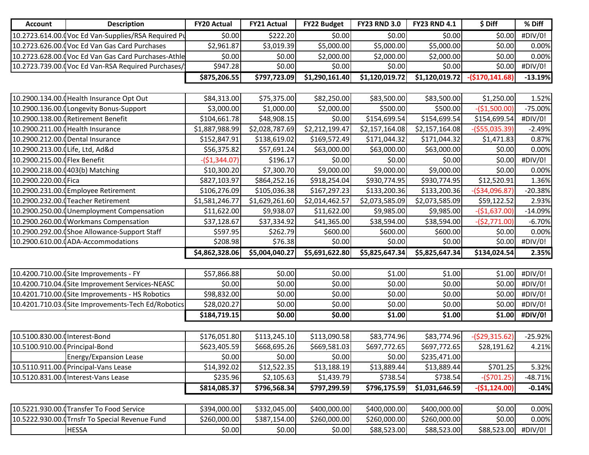| <b>Account</b>                  | <b>Description</b>                                  | <b>FY20 Actual</b> | <b>FY21 Actual</b> | <b>FY22 Budget</b> | <b>FY23 RND 3.0</b> | <b>FY23 RND 4.1</b> | \$ Diff          | % Diff    |
|---------------------------------|-----------------------------------------------------|--------------------|--------------------|--------------------|---------------------|---------------------|------------------|-----------|
|                                 | 10.2723.614.00.0Voc Ed Van-Supplies/RSA Required Pu | \$0.00             | \$222.20           | \$0.00             | \$0.00              | \$0.00              | \$0.00           | #DIV/0!   |
|                                 | 10.2723.626.00.0 Voc Ed Van Gas Card Purchases      | \$2,961.87         | \$3,019.39         | \$5,000.00         | \$5,000.00          | \$5,000.00          | \$0.00           | 0.00%     |
|                                 | 10.2723.628.00. Voc Ed Van Gas Card Purchases-Athle | \$0.00             | \$0.00             | \$2,000.00         | \$2,000.00]         | \$2,000.00          | \$0.00           | 0.00%     |
|                                 | 10.2723.739.00.0 Voc Ed Van-RSA Required Purchases/ | \$947.28           | \$0.00             | \$0.00             | \$0.00              | \$0.00              | \$0.00           | #DIV/0!   |
|                                 |                                                     | \$875,206.55       | \$797,723.09       | \$1,290,161.40     | \$1,120,019.72      | \$1,120,019.72      | $-($170,141.68)$ | $-13.19%$ |
|                                 |                                                     |                    |                    |                    |                     |                     |                  |           |
|                                 | 10.2900.134.00. Health Insurance Opt Out            | \$84,313.00        | \$75,375.00        | \$82,250.00        | \$83,500.00         | \$83,500.00         | \$1,250.00       | 1.52%     |
|                                 | 10.2900.136.00.0Longevity Bonus-Support             | \$3,000.00         | \$1,000.00         | \$2,000.00         | \$500.00            | \$500.00            | $-($1,500.00)$   | $-75.00%$ |
|                                 | 10.2900.138.00. (Retirement Benefit                 | \$104,661.78       | \$48,908.15        | \$0.00             | \$154,699.54        | \$154,699.54        | \$154,699.54     | #DIV/0!   |
|                                 | 10.2900.211.00. (Health Insurance                   | \$1,887,988.99     | \$2,028,787.69     | \$2,212,199.47     | \$2,157,164.08      | \$2,157,164.08      | $-($55,035.39)$  | $-2.49%$  |
|                                 | 10.2900.212.00.0Dental Insurance                    | \$152,847.91       | \$138,619.02       | \$169,572.49       | \$171,044.32        | \$171,044.32        | \$1,471.83       | 0.87%     |
| 10.2900.213.00. Life, Ltd, Ad&d |                                                     | \$56,375.82        | \$57,691.24        | \$63,000.00        | \$63,000.00         | \$63,000.00         | \$0.00           | 0.00%     |
| 10.2900.215.00. [Flex Benefit   |                                                     | $-($1,344.07)$     | \$196.17           | \$0.00             | \$0.00              | \$0.00              | \$0.00           | #DIV/0!   |
|                                 | 10.2900.218.00.0403(b) Matching                     | \$10,300.20        | \$7,300.70         | \$9,000.00         | \$9,000.00          | \$9,000.00          | \$0.00           | 0.00%     |
| 10.2900.220.00.0 Fica           |                                                     | \$827,103.97       | \$864,252.16       | \$918,254.04       | \$930,774.95        | \$930,774.95        | \$12,520.91      | 1.36%     |
|                                 | 10.2900.231.00.0 Employee Retirement                | \$106,276.09       | \$105,036.38       | \$167,297.23       | \$133,200.36        | \$133,200.36        | $-($34,096.87)$  | $-20.38%$ |
|                                 | 10.2900.232.00.0 Teacher Retirement                 | \$1,581,246.77     | \$1,629,261.60     | \$2,014,462.57     | \$2,073,585.09      | \$2,073,585.09      | \$59,122.52      | 2.93%     |
|                                 | 10.2900.250.00. Unemployment Compensation           | \$11,622.00        | \$9,938.07         | \$11,622.00        | \$9,985.00          | \$9,985.00          | $-($1,637.00)$   | $-14.09%$ |
|                                 | 10.2900.260.00.0 Workmans Compensation              | \$37,128.67        | \$37,334.92        | \$41,365.00        | \$38,594.00         | \$38,594.00         | $-($2,771.00)$   | $-6.70%$  |
|                                 | 10.2900.292.00.0Shoe Allowance-Support Staff        | \$597.95           | \$262.79           | \$600.00           | \$600.00            | \$600.00            | \$0.00           | 0.00%     |
|                                 | 10.2900.610.00. (ADA-Accommodations                 | \$208.98           | \$76.38            | \$0.00             | \$0.00              | \$0.00              | \$0.00           | #DIV/0!   |
|                                 |                                                     | \$4,862,328.06     | \$5,004,040.27     | \$5,691,622.80     | \$5,825,647.34      | \$5,825,647.34      | \$134,024.54     | 2.35%     |
|                                 |                                                     |                    |                    |                    |                     |                     |                  |           |
|                                 | 10.4200.710.00. (Site Improvements - FY             | \$57,866.88        | \$0.00             | \$0.00             | \$1.00              | \$1.00              | \$1.00           | #DIV/0!   |
|                                 | 10.4200.710.04. (Site Improvement Services-NEASC    | \$0.00             | \$0.00             | \$0.00             | \$0.00              | \$0.00              | \$0.00           | #DIV/0!   |
|                                 | 10.4201.710.00. (Site Improvements - HS Robotics    | \$98,832.00        | \$0.00             | \$0.00             | \$0.00              | \$0.00              | \$0.00           | #DIV/0!   |
|                                 | 10.4201.710.03. (Site Improvements-Tech Ed/Robotics | \$28,020.27        | \$0.00             | \$0.00             | \$0.00              | \$0.00              | \$0.00           | #DIV/0!   |
|                                 |                                                     | \$184,719.15       | \$0.00             | \$0.00             | \$1.00              | \$1.00              | \$1.00           | #DIV/0!   |
|                                 |                                                     |                    |                    |                    |                     |                     |                  |           |
| 10.5100.830.00. Interest-Bond   |                                                     | \$176,051.80       | \$113,245.10       | \$113,090.58       | \$83,774.96         | \$83,774.96         | $-($29,315.62)$  | $-25.92%$ |
| 10.5100.910.00. (Principal-Bond |                                                     | \$623,405.59       | \$668,695.26       | \$669,581.03       | \$697,772.65        | \$697,772.65        | \$28,191.62      | 4.21%     |
|                                 | <b>Energy/Expansion Lease</b>                       | \$0.00             | \$0.00             | \$0.00             | \$0.00              | \$235,471.00        |                  |           |
|                                 | 10.5110.911.00. (Principal-Vans Lease               | \$14,392.02        | \$12,522.35        | \$13,188.19        | \$13,889.44         | \$13,889.44         | \$701.25         | 5.32%     |
|                                 | 10.5120.831.00. Interest-Vans Lease                 | \$235.96           | \$2,105.63         | \$1,439.79         | \$738.54            | \$738.54            | $-(5701.25)$     | $-48.71%$ |
|                                 |                                                     | \$814,085.37       | \$796,568.34       | \$797,299.59       | \$796,175.59        | \$1,031,646.59      | $-($1,124.00)$   | $-0.14%$  |
|                                 |                                                     |                    |                    |                    |                     |                     |                  |           |
|                                 | 10.5221.930.00. Transfer To Food Service            | \$394,000.00       | \$332,045.00       | \$400,000.00       | \$400,000.00        | \$400,000.00        | \$0.00           | 0.00%     |
|                                 | 10.5222.930.00.0Trnsfr To Special Revenue Fund      | \$260,000.00       | \$387,154.00       | \$260,000.00       | \$260,000.00        | \$260,000.00        | \$0.00           | 0.00%     |
|                                 | <b>HESSA</b>                                        | \$0.00             | \$0.00             | \$0.00             | \$88,523.00         | \$88,523.00         | \$88,523.00      | #DIV/0!   |